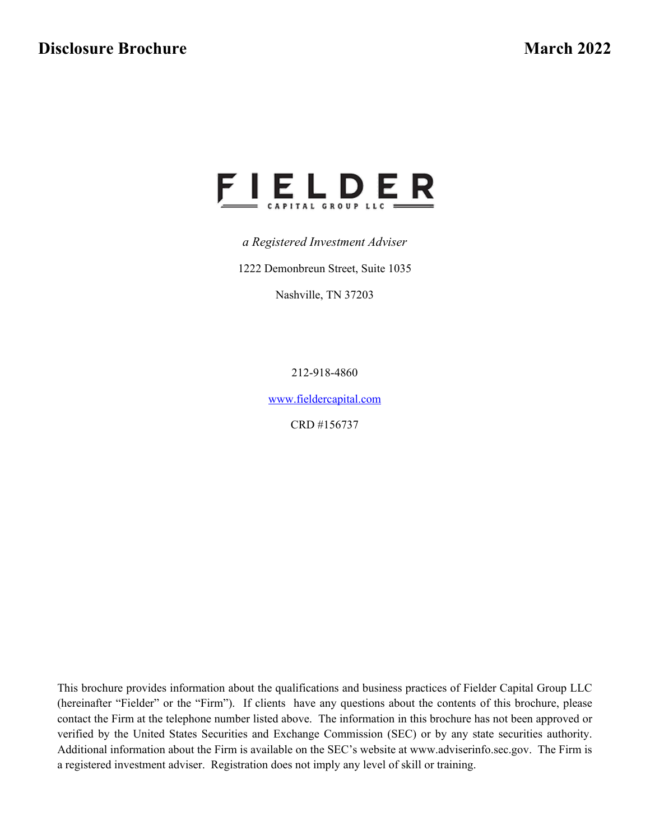

*a Registered Investment Adviser*

1222 Demonbreun Street, Suite 1035

Nashville, TN 37203

212-918-4860

[www.fieldercapital.com](http://www.fieldercapital.com/)

CRD #156737

This brochure provides information about the qualifications and business practices of Fielder Capital Group LLC (hereinafter "Fielder" or the "Firm"). If clients have any questions about the contents of this brochure, please contact the Firm at the telephone number listed above. The information in this brochure has not been approved or verified by the United States Securities and Exchange Commission (SEC) or by any state securities authority. Additional information about the Firm is available on the SEC's website at www.adviserinfo.sec.gov. The Firm is a registered investment adviser. Registration does not imply any level of skill or training.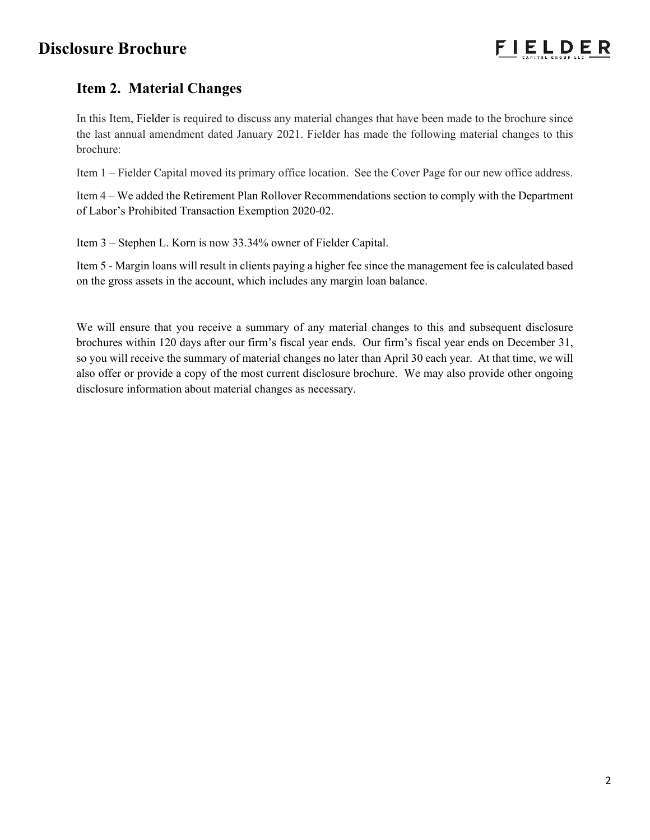# **Item 2. Material Changes**

In this Item, Fielder is required to discuss any material changes that have been made to the brochure since the last annual amendment dated January 2021. Fielder has made the following material changes to this brochure:

Item 1 – Fielder Capital moved its primary office location. See the Cover Page for our new office address.

Item 4 – We added the Retirement Plan Rollover Recommendations section to comply with the Department of Labor's Prohibited Transaction Exemption 2020-02.

Item 3 – Stephen L. Korn is now 33.34% owner of Fielder Capital.

Item 5 - Margin loans will result in clients paying a higher fee since the management fee is calculated based on the gross assets in the account, which includes any margin loan balance.

We will ensure that you receive a summary of any material changes to this and subsequent disclosure brochures within 120 days after our firm's fiscal year ends. Our firm's fiscal year ends on December 31, so you will receive the summary of material changes no later than April 30 each year. At that time, we will also offer or provide a copy of the most current disclosure brochure. We may also provide other ongoing disclosure information about material changes as necessary.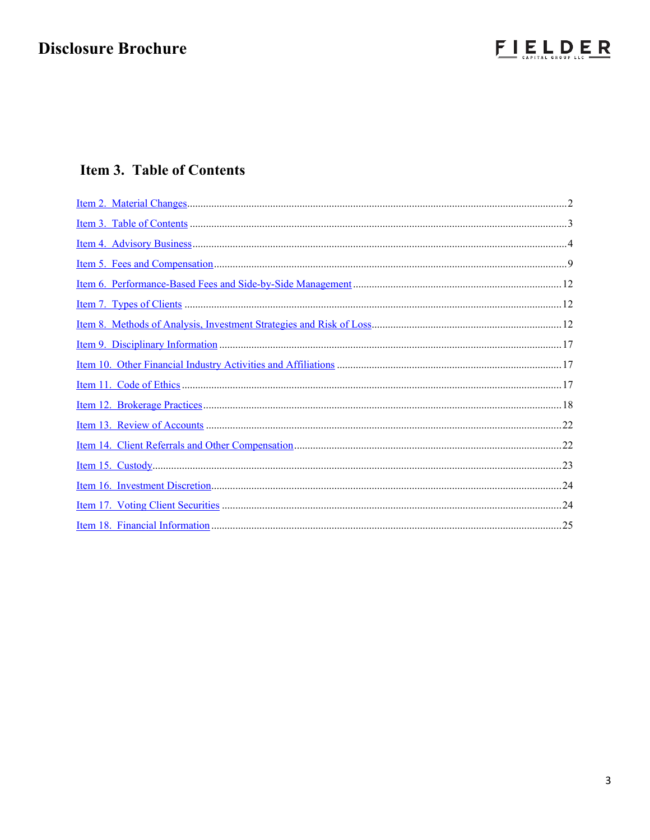

# Item 3. Table of Contents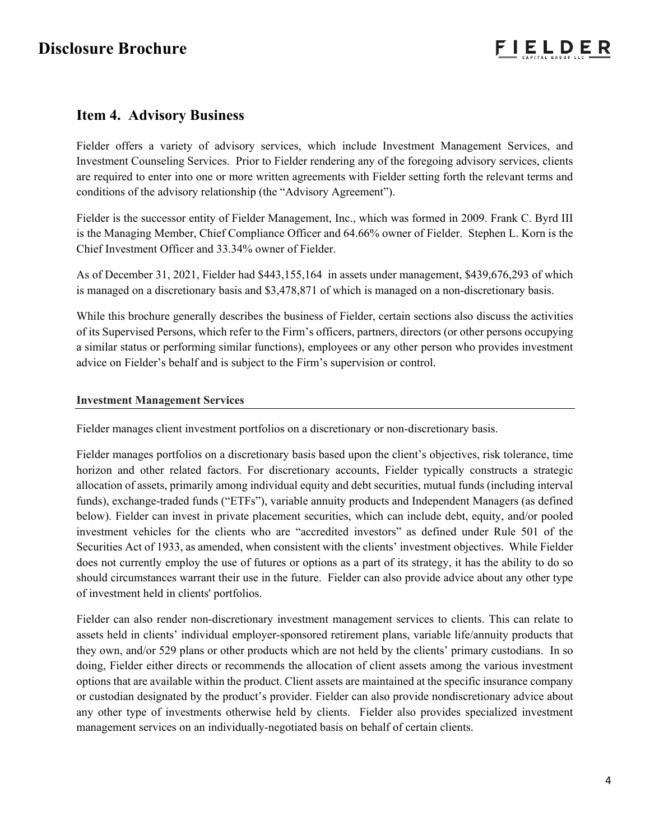## **Item 4. Advisory Business**

Fielder offers a variety of advisory services, which include Investment Management Services, and Investment Counseling Services. Prior to Fielder rendering any of the foregoing advisory services, clients are required to enter into one or more written agreements with Fielder setting forth the relevant terms and conditions of the advisory relationship (the "Advisory Agreement").

Fielder is the successor entity of Fielder Management, Inc., which was formed in 2009. Frank C. Byrd III is the Managing Member, Chief Compliance Officer and 64.66% owner of Fielder. Stephen L. Korn is the Chief Investment Officer and 33.34% owner of Fielder.

As of December 31, 2021, Fielder had \$443,155,164 in assets under management, \$439,676,293 of which is managed on a discretionary basis and \$3,478,871 of which is managed on a non-discretionary basis.

While this brochure generally describes the business of Fielder, certain sections also discuss the activities of its Supervised Persons, which refer to the Firm's officers, partners, directors (or other persons occupying a similar status or performing similar functions), employees or any other person who provides investment advice on Fielder's behalf and is subject to the Firm's supervision or control.

## **Investment Management Services**

Fielder manages client investment portfolios on a discretionary or non-discretionary basis.

Fielder manages portfolios on a discretionary basis based upon the client's objectives, risk tolerance, time horizon and other related factors. For discretionary accounts, Fielder typically constructs a strategic allocation of assets, primarily among individual equity and debt securities, mutual funds (including interval funds), exchange-traded funds ("ETFs"), variable annuity products and Independent Managers (as defined below). Fielder can invest in private placement securities, which can include debt, equity, and/or pooled investment vehicles for the clients who are "accredited investors" as defined under Rule 501 of the Securities Act of 1933, as amended, when consistent with the clients' investment objectives. While Fielder does not currently employ the use of futures or options as a part of its strategy, it has the ability to do so should circumstances warrant their use in the future. Fielder can also provide advice about any other type of investment held in clients' portfolios.

Fielder can also render non-discretionary investment management services to clients. This can relate to assets held in clients' individual employer-sponsored retirement plans, variable life/annuity products that they own, and/or 529 plans or other products which are not held by the clients' primary custodians. In so doing, Fielder either directs or recommends the allocation of client assets among the various investment options that are available within the product. Client assets are maintained at the specific insurance company or custodian designated by the product's provider. Fielder can also provide nondiscretionary advice about any other type of investments otherwise held by clients. Fielder also provides specialized investment management services on an individually-negotiated basis on behalf of certain clients.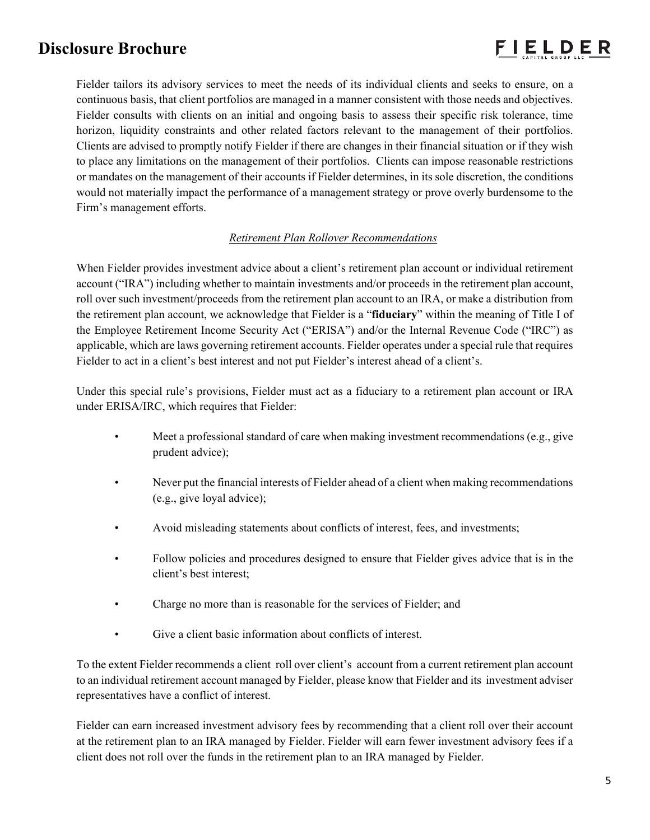

Fielder tailors its advisory services to meet the needs of its individual clients and seeks to ensure, on a continuous basis, that client portfolios are managed in a manner consistent with those needs and objectives. Fielder consults with clients on an initial and ongoing basis to assess their specific risk tolerance, time horizon, liquidity constraints and other related factors relevant to the management of their portfolios. Clients are advised to promptly notify Fielder if there are changes in their financial situation or if they wish to place any limitations on the management of their portfolios. Clients can impose reasonable restrictions or mandates on the management of their accounts if Fielder determines, in its sole discretion, the conditions would not materially impact the performance of a management strategy or prove overly burdensome to the Firm's management efforts.

## *Retirement Plan Rollover Recommendations*

When Fielder provides investment advice about a client's retirement plan account or individual retirement account ("IRA") including whether to maintain investments and/or proceeds in the retirement plan account, roll over such investment/proceeds from the retirement plan account to an IRA, or make a distribution from the retirement plan account, we acknowledge that Fielder is a "**fiduciary**" within the meaning of Title I of the Employee Retirement Income Security Act ("ERISA") and/or the Internal Revenue Code ("IRC") as applicable, which are laws governing retirement accounts. Fielder operates under a special rule that requires Fielder to act in a client's best interest and not put Fielder's interest ahead of a client's.

Under this special rule's provisions, Fielder must act as a fiduciary to a retirement plan account or IRA under ERISA/IRC, which requires that Fielder:

- Meet a professional standard of care when making investment recommendations (e.g., give prudent advice);
- Never put the financial interests of Fielder ahead of a client when making recommendations (e.g., give loyal advice);
- Avoid misleading statements about conflicts of interest, fees, and investments;
- Follow policies and procedures designed to ensure that Fielder gives advice that is in the client's best interest;
- Charge no more than is reasonable for the services of Fielder; and
- Give a client basic information about conflicts of interest.

To the extent Fielder recommends a client roll over client's account from a current retirement plan account to an individual retirement account managed by Fielder, please know that Fielder and its investment adviser representatives have a conflict of interest.

Fielder can earn increased investment advisory fees by recommending that a client roll over their account at the retirement plan to an IRA managed by Fielder. Fielder will earn fewer investment advisory fees if a client does not roll over the funds in the retirement plan to an IRA managed by Fielder.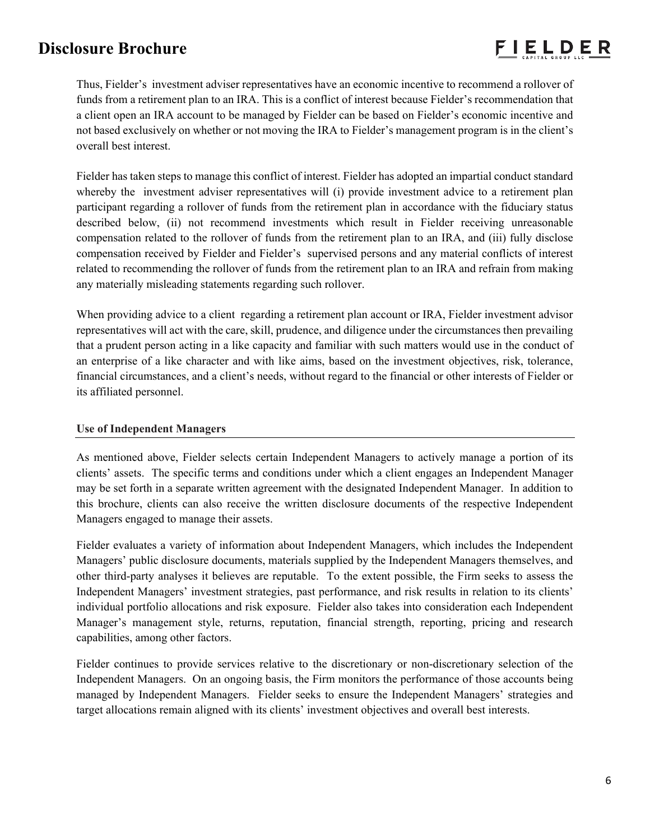

Thus, Fielder's investment adviser representatives have an economic incentive to recommend a rollover of funds from a retirement plan to an IRA. This is a conflict of interest because Fielder's recommendation that a client open an IRA account to be managed by Fielder can be based on Fielder's economic incentive and not based exclusively on whether or not moving the IRA to Fielder's management program is in the client's overall best interest.

Fielder has taken steps to manage this conflict of interest. Fielder has adopted an impartial conduct standard whereby the investment adviser representatives will (i) provide investment advice to a retirement plan participant regarding a rollover of funds from the retirement plan in accordance with the fiduciary status described below, (ii) not recommend investments which result in Fielder receiving unreasonable compensation related to the rollover of funds from the retirement plan to an IRA, and (iii) fully disclose compensation received by Fielder and Fielder's supervised persons and any material conflicts of interest related to recommending the rollover of funds from the retirement plan to an IRA and refrain from making any materially misleading statements regarding such rollover.

When providing advice to a client regarding a retirement plan account or IRA, Fielder investment advisor representatives will act with the care, skill, prudence, and diligence under the circumstances then prevailing that a prudent person acting in a like capacity and familiar with such matters would use in the conduct of an enterprise of a like character and with like aims, based on the investment objectives, risk, tolerance, financial circumstances, and a client's needs, without regard to the financial or other interests of Fielder or its affiliated personnel.

### **Use of Independent Managers**

As mentioned above, Fielder selects certain Independent Managers to actively manage a portion of its clients' assets. The specific terms and conditions under which a client engages an Independent Manager may be set forth in a separate written agreement with the designated Independent Manager. In addition to this brochure, clients can also receive the written disclosure documents of the respective Independent Managers engaged to manage their assets.

Fielder evaluates a variety of information about Independent Managers, which includes the Independent Managers' public disclosure documents, materials supplied by the Independent Managers themselves, and other third-party analyses it believes are reputable. To the extent possible, the Firm seeks to assess the Independent Managers' investment strategies, past performance, and risk results in relation to its clients' individual portfolio allocations and risk exposure. Fielder also takes into consideration each Independent Manager's management style, returns, reputation, financial strength, reporting, pricing and research capabilities, among other factors.

Fielder continues to provide services relative to the discretionary or non-discretionary selection of the Independent Managers. On an ongoing basis, the Firm monitors the performance of those accounts being managed by Independent Managers. Fielder seeks to ensure the Independent Managers' strategies and target allocations remain aligned with its clients' investment objectives and overall best interests.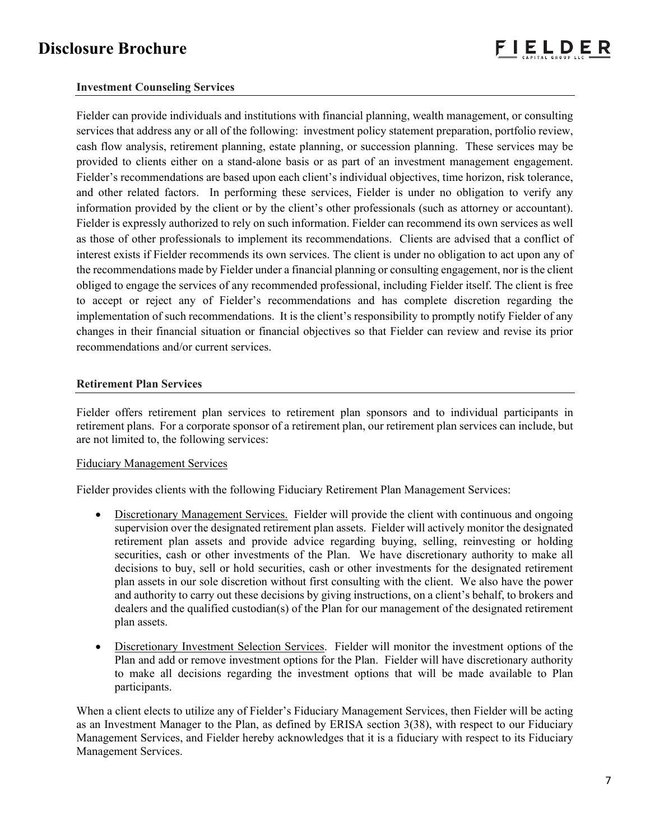## **Investment Counseling Services**

Fielder can provide individuals and institutions with financial planning, wealth management, or consulting services that address any or all of the following: investment policy statement preparation, portfolio review, cash flow analysis, retirement planning, estate planning, or succession planning. These services may be provided to clients either on a stand-alone basis or as part of an investment management engagement. Fielder's recommendations are based upon each client's individual objectives, time horizon, risk tolerance, and other related factors. In performing these services, Fielder is under no obligation to verify any information provided by the client or by the client's other professionals (such as attorney or accountant). Fielder is expressly authorized to rely on such information. Fielder can recommend its own services as well as those of other professionals to implement its recommendations. Clients are advised that a conflict of interest exists if Fielder recommends its own services. The client is under no obligation to act upon any of the recommendations made by Fielder under a financial planning or consulting engagement, nor is the client obliged to engage the services of any recommended professional, including Fielder itself. The client is free to accept or reject any of Fielder's recommendations and has complete discretion regarding the implementation of such recommendations. It is the client's responsibility to promptly notify Fielder of any changes in their financial situation or financial objectives so that Fielder can review and revise its prior recommendations and/or current services.

### **Retirement Plan Services**

Fielder offers retirement plan services to retirement plan sponsors and to individual participants in retirement plans. For a corporate sponsor of a retirement plan, our retirement plan services can include, but are not limited to, the following services:

### Fiduciary Management Services

Fielder provides clients with the following Fiduciary Retirement Plan Management Services:

- Discretionary Management Services. Fielder will provide the client with continuous and ongoing supervision over the designated retirement plan assets. Fielder will actively monitor the designated retirement plan assets and provide advice regarding buying, selling, reinvesting or holding securities, cash or other investments of the Plan. We have discretionary authority to make all decisions to buy, sell or hold securities, cash or other investments for the designated retirement plan assets in our sole discretion without first consulting with the client. We also have the power and authority to carry out these decisions by giving instructions, on a client's behalf, to brokers and dealers and the qualified custodian(s) of the Plan for our management of the designated retirement plan assets.
- Discretionary Investment Selection Services. Fielder will monitor the investment options of the Plan and add or remove investment options for the Plan. Fielder will have discretionary authority to make all decisions regarding the investment options that will be made available to Plan participants.

When a client elects to utilize any of Fielder's Fiduciary Management Services, then Fielder will be acting as an Investment Manager to the Plan, as defined by ERISA section 3(38), with respect to our Fiduciary Management Services, and Fielder hereby acknowledges that it is a fiduciary with respect to its Fiduciary Management Services.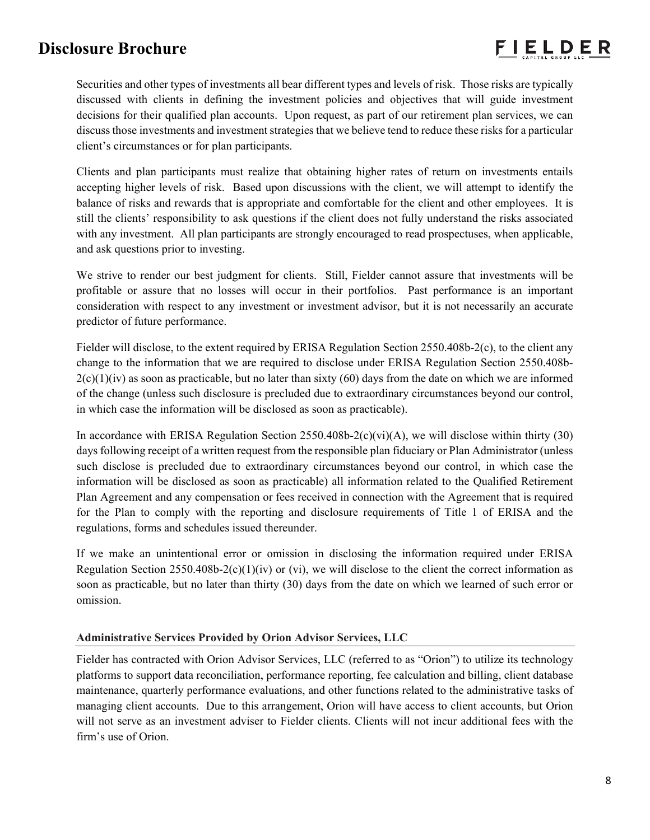Securities and other types of investments all bear different types and levels of risk. Those risks are typically discussed with clients in defining the investment policies and objectives that will guide investment decisions for their qualified plan accounts. Upon request, as part of our retirement plan services, we can discuss those investments and investment strategies that we believe tend to reduce these risks for a particular client's circumstances or for plan participants.

Clients and plan participants must realize that obtaining higher rates of return on investments entails accepting higher levels of risk. Based upon discussions with the client, we will attempt to identify the balance of risks and rewards that is appropriate and comfortable for the client and other employees. It is still the clients' responsibility to ask questions if the client does not fully understand the risks associated with any investment. All plan participants are strongly encouraged to read prospectuses, when applicable, and ask questions prior to investing.

We strive to render our best judgment for clients. Still, Fielder cannot assure that investments will be profitable or assure that no losses will occur in their portfolios. Past performance is an important consideration with respect to any investment or investment advisor, but it is not necessarily an accurate predictor of future performance.

Fielder will disclose, to the extent required by ERISA Regulation Section 2550.408b-2(c), to the client any change to the information that we are required to disclose under ERISA Regulation Section 2550.408b- $2(c)(1)(iv)$  as soon as practicable, but no later than sixty (60) days from the date on which we are informed of the change (unless such disclosure is precluded due to extraordinary circumstances beyond our control, in which case the information will be disclosed as soon as practicable).

In accordance with ERISA Regulation Section 2550.408b-2(c)(vi)(A), we will disclose within thirty (30) days following receipt of a written request from the responsible plan fiduciary or Plan Administrator (unless such disclose is precluded due to extraordinary circumstances beyond our control, in which case the information will be disclosed as soon as practicable) all information related to the Qualified Retirement Plan Agreement and any compensation or fees received in connection with the Agreement that is required for the Plan to comply with the reporting and disclosure requirements of Title 1 of ERISA and the regulations, forms and schedules issued thereunder.

If we make an unintentional error or omission in disclosing the information required under ERISA Regulation Section 2550.408b-2(c)(1)(iv) or (vi), we will disclose to the client the correct information as soon as practicable, but no later than thirty (30) days from the date on which we learned of such error or omission.

### **Administrative Services Provided by Orion Advisor Services, LLC**

Fielder has contracted with Orion Advisor Services, LLC (referred to as "Orion") to utilize its technology platforms to support data reconciliation, performance reporting, fee calculation and billing, client database maintenance, quarterly performance evaluations, and other functions related to the administrative tasks of managing client accounts. Due to this arrangement, Orion will have access to client accounts, but Orion will not serve as an investment adviser to Fielder clients. Clients will not incur additional fees with the firm's use of Orion.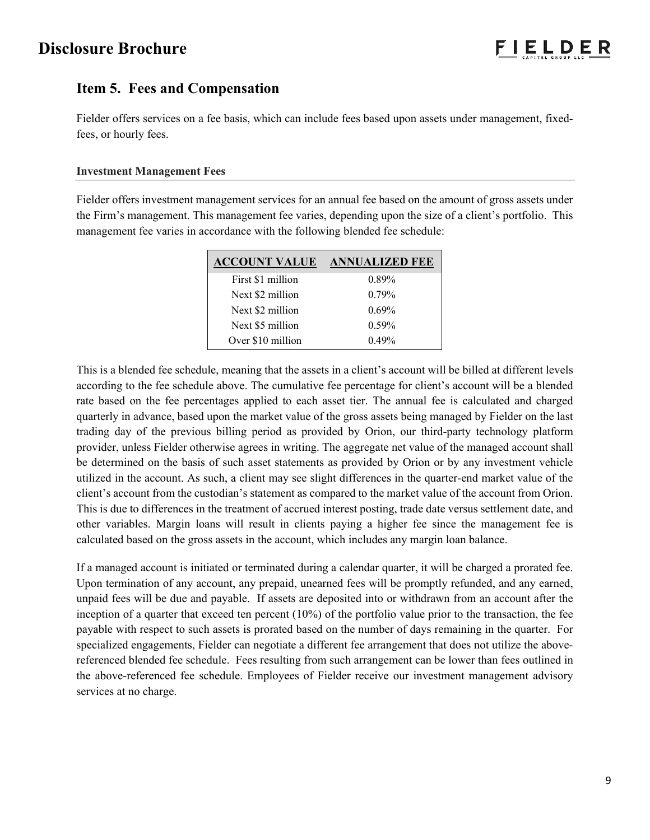# **Item 5. Fees and Compensation**

Fielder offers services on a fee basis, which can include fees based upon assets under management, fixedfees, or hourly fees.

## **Investment Management Fees**

Fielder offers investment management services for an annual fee based on the amount of gross assets under the Firm's management. This management fee varies, depending upon the size of a client's portfolio. This management fee varies in accordance with the following blended fee schedule:

| <b>ACCOUNT VALUE</b> | <b>ANNUALIZED FEE</b> |
|----------------------|-----------------------|
| First \$1 million    | $0.89\%$              |
| Next \$2 million     | $0.79\%$              |
| Next \$2 million     | $0.69\%$              |
| Next \$5 million     | $0.59\%$              |
| Over \$10 million    | 0.49%                 |

This is a blended fee schedule, meaning that the assets in a client's account will be billed at different levels according to the fee schedule above. The cumulative fee percentage for client's account will be a blended rate based on the fee percentages applied to each asset tier. The annual fee is calculated and charged quarterly in advance, based upon the market value of the gross assets being managed by Fielder on the last trading day of the previous billing period as provided by Orion, our third-party technology platform provider, unless Fielder otherwise agrees in writing. The aggregate net value of the managed account shall be determined on the basis of such asset statements as provided by Orion or by any investment vehicle utilized in the account. As such, a client may see slight differences in the quarter-end market value of the client's account from the custodian's statement as compared to the market value of the account from Orion. This is due to differences in the treatment of accrued interest posting, trade date versus settlement date, and other variables. Margin loans will result in clients paying a higher fee since the management fee is calculated based on the gross assets in the account, which includes any margin loan balance.

If a managed account is initiated or terminated during a calendar quarter, it will be charged a prorated fee. Upon termination of any account, any prepaid, unearned fees will be promptly refunded, and any earned, unpaid fees will be due and payable. If assets are deposited into or withdrawn from an account after the inception of a quarter that exceed ten percent  $(10\%)$  of the portfolio value prior to the transaction, the fee payable with respect to such assets is prorated based on the number of days remaining in the quarter. For specialized engagements, Fielder can negotiate a different fee arrangement that does not utilize the abovereferenced blended fee schedule. Fees resulting from such arrangement can be lower than fees outlined in the above-referenced fee schedule. Employees of Fielder receive our investment management advisory services at no charge.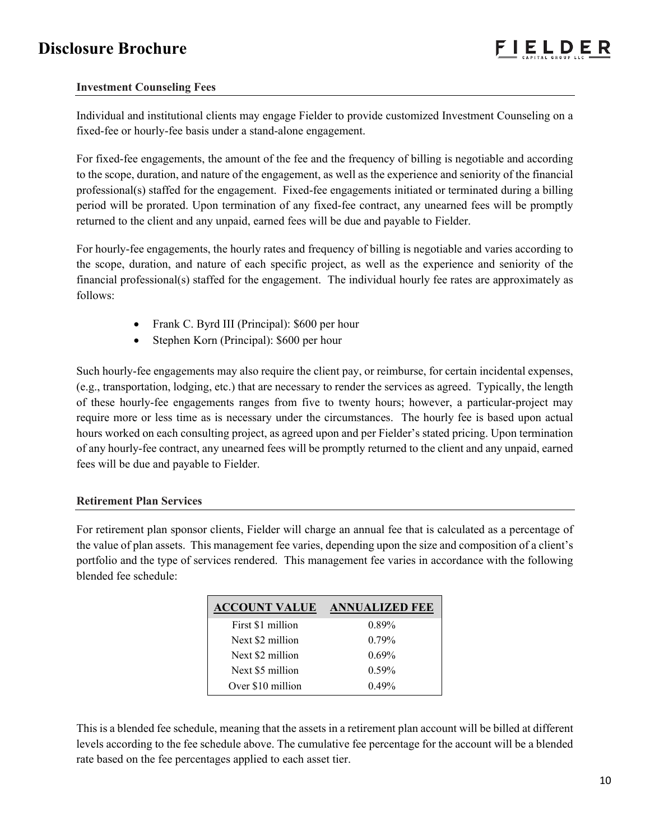## **Investment Counseling Fees**

Individual and institutional clients may engage Fielder to provide customized Investment Counseling on a fixed-fee or hourly-fee basis under a stand-alone engagement.

For fixed-fee engagements, the amount of the fee and the frequency of billing is negotiable and according to the scope, duration, and nature of the engagement, as well as the experience and seniority of the financial professional(s) staffed for the engagement. Fixed-fee engagements initiated or terminated during a billing period will be prorated. Upon termination of any fixed-fee contract, any unearned fees will be promptly returned to the client and any unpaid, earned fees will be due and payable to Fielder.

For hourly-fee engagements, the hourly rates and frequency of billing is negotiable and varies according to the scope, duration, and nature of each specific project, as well as the experience and seniority of the financial professional(s) staffed for the engagement. The individual hourly fee rates are approximately as follows:

- Frank C. Byrd III (Principal): \$600 per hour
- Stephen Korn (Principal): \$600 per hour

Such hourly-fee engagements may also require the client pay, or reimburse, for certain incidental expenses, (e.g., transportation, lodging, etc.) that are necessary to render the services as agreed. Typically, the length of these hourly-fee engagements ranges from five to twenty hours; however, a particular-project may require more or less time as is necessary under the circumstances. The hourly fee is based upon actual hours worked on each consulting project, as agreed upon and per Fielder's stated pricing. Upon termination of any hourly-fee contract, any unearned fees will be promptly returned to the client and any unpaid, earned fees will be due and payable to Fielder.

## **Retirement Plan Services**

For retirement plan sponsor clients, Fielder will charge an annual fee that is calculated as a percentage of the value of plan assets. This management fee varies, depending upon the size and composition of a client's portfolio and the type of services rendered. This management fee varies in accordance with the following blended fee schedule:

| <b>ACCOUNT VALUE</b> | <b>ANNUALIZED FEE</b> |
|----------------------|-----------------------|
| First \$1 million    | 0.89%                 |
| Next \$2 million     | 0.79%                 |
| Next \$2 million     | $0.69\%$              |
| Next \$5 million     | $0.59\%$              |
| Over \$10 million    | 0.49%                 |

This is a blended fee schedule, meaning that the assets in a retirement plan account will be billed at different levels according to the fee schedule above. The cumulative fee percentage for the account will be a blended rate based on the fee percentages applied to each asset tier.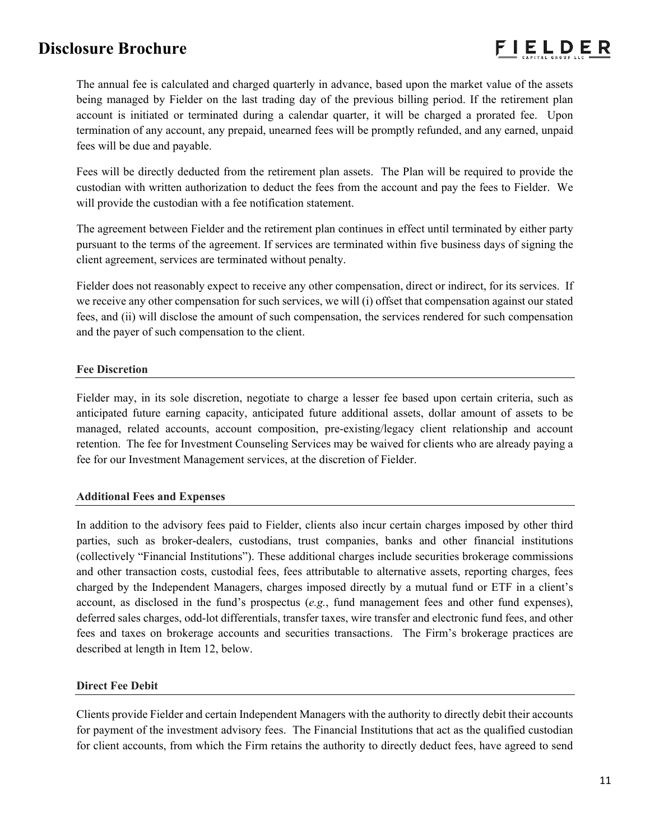

The annual fee is calculated and charged quarterly in advance, based upon the market value of the assets being managed by Fielder on the last trading day of the previous billing period. If the retirement plan account is initiated or terminated during a calendar quarter, it will be charged a prorated fee. Upon termination of any account, any prepaid, unearned fees will be promptly refunded, and any earned, unpaid fees will be due and payable.

Fees will be directly deducted from the retirement plan assets. The Plan will be required to provide the custodian with written authorization to deduct the fees from the account and pay the fees to Fielder. We will provide the custodian with a fee notification statement.

The agreement between Fielder and the retirement plan continues in effect until terminated by either party pursuant to the terms of the agreement. If services are terminated within five business days of signing the client agreement, services are terminated without penalty.

Fielder does not reasonably expect to receive any other compensation, direct or indirect, for its services. If we receive any other compensation for such services, we will (i) offset that compensation against our stated fees, and (ii) will disclose the amount of such compensation, the services rendered for such compensation and the payer of such compensation to the client.

## **Fee Discretion**

Fielder may, in its sole discretion, negotiate to charge a lesser fee based upon certain criteria, such as anticipated future earning capacity, anticipated future additional assets, dollar amount of assets to be managed, related accounts, account composition, pre-existing/legacy client relationship and account retention. The fee for Investment Counseling Services may be waived for clients who are already paying a fee for our Investment Management services, at the discretion of Fielder.

### **Additional Fees and Expenses**

In addition to the advisory fees paid to Fielder, clients also incur certain charges imposed by other third parties, such as broker-dealers, custodians, trust companies, banks and other financial institutions (collectively "Financial Institutions"). These additional charges include securities brokerage commissions and other transaction costs, custodial fees, fees attributable to alternative assets, reporting charges, fees charged by the Independent Managers, charges imposed directly by a mutual fund or ETF in a client's account, as disclosed in the fund's prospectus (*e.g.*, fund management fees and other fund expenses), deferred sales charges, odd-lot differentials, transfer taxes, wire transfer and electronic fund fees, and other fees and taxes on brokerage accounts and securities transactions. The Firm's brokerage practices are described at length in Item 12, below.

## **Direct Fee Debit**

Clients provide Fielder and certain Independent Managers with the authority to directly debit their accounts for payment of the investment advisory fees. The Financial Institutions that act as the qualified custodian for client accounts, from which the Firm retains the authority to directly deduct fees, have agreed to send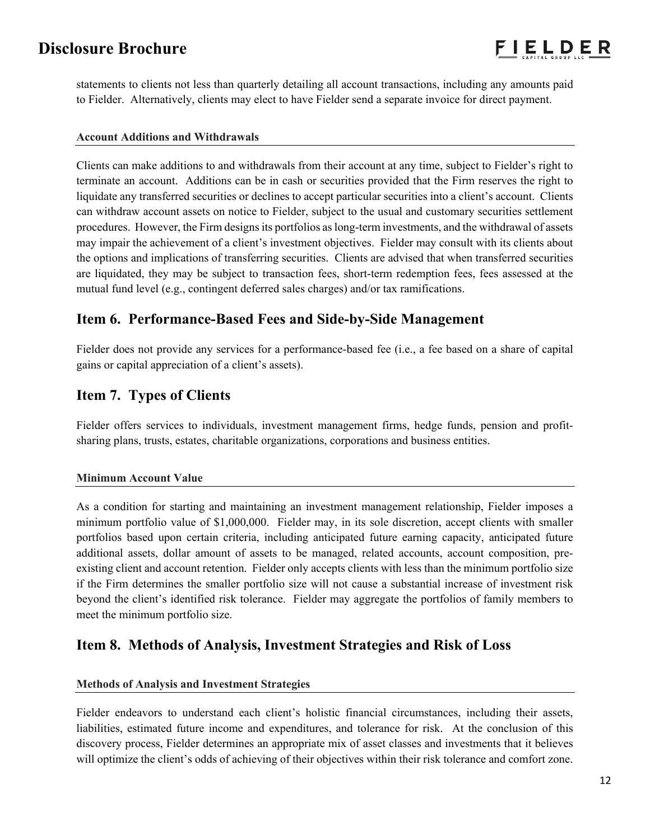statements to clients not less than quarterly detailing all account transactions, including any amounts paid to Fielder. Alternatively, clients may elect to have Fielder send a separate invoice for direct payment.

### **Account Additions and Withdrawals**

Clients can make additions to and withdrawals from their account at any time, subject to Fielder's right to terminate an account. Additions can be in cash or securities provided that the Firm reserves the right to liquidate any transferred securities or declines to accept particular securities into a client's account. Clients can withdraw account assets on notice to Fielder, subject to the usual and customary securities settlement procedures. However, the Firm designs its portfolios as long-term investments, and the withdrawal of assets may impair the achievement of a client's investment objectives. Fielder may consult with its clients about the options and implications of transferring securities. Clients are advised that when transferred securities are liquidated, they may be subject to transaction fees, short-term redemption fees, fees assessed at the mutual fund level (e.g., contingent deferred sales charges) and/or tax ramifications.

## **Item 6. Performance-Based Fees and Side-by-Side Management**

Fielder does not provide any services for a performance-based fee (i.e., a fee based on a share of capital gains or capital appreciation of a client's assets).

# **Item 7. Types of Clients**

Fielder offers services to individuals, investment management firms, hedge funds, pension and profitsharing plans, trusts, estates, charitable organizations, corporations and business entities.

## **Minimum Account Value**

As a condition for starting and maintaining an investment management relationship, Fielder imposes a minimum portfolio value of \$1,000,000. Fielder may, in its sole discretion, accept clients with smaller portfolios based upon certain criteria, including anticipated future earning capacity, anticipated future additional assets, dollar amount of assets to be managed, related accounts, account composition, preexisting client and account retention. Fielder only accepts clients with less than the minimum portfolio size if the Firm determines the smaller portfolio size will not cause a substantial increase of investment risk beyond the client's identified risk tolerance. Fielder may aggregate the portfolios of family members to meet the minimum portfolio size.

## **Item 8. Methods of Analysis, Investment Strategies and Risk of Loss**

### **Methods of Analysis and Investment Strategies**

Fielder endeavors to understand each client's holistic financial circumstances, including their assets, liabilities, estimated future income and expenditures, and tolerance for risk. At the conclusion of this discovery process, Fielder determines an appropriate mix of asset classes and investments that it believes will optimize the client's odds of achieving of their objectives within their risk tolerance and comfort zone.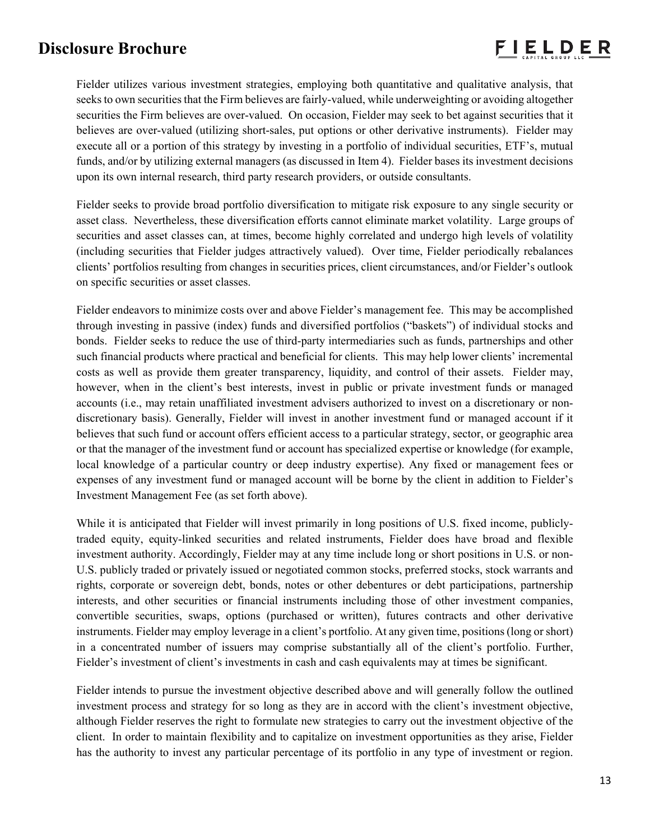Fielder utilizes various investment strategies, employing both quantitative and qualitative analysis, that seeks to own securities that the Firm believes are fairly-valued, while underweighting or avoiding altogether securities the Firm believes are over-valued. On occasion, Fielder may seek to bet against securities that it believes are over-valued (utilizing short-sales, put options or other derivative instruments). Fielder may execute all or a portion of this strategy by investing in a portfolio of individual securities, ETF's, mutual funds, and/or by utilizing external managers (as discussed in Item 4). Fielder bases its investment decisions upon its own internal research, third party research providers, or outside consultants.

Fielder seeks to provide broad portfolio diversification to mitigate risk exposure to any single security or asset class. Nevertheless, these diversification efforts cannot eliminate market volatility. Large groups of securities and asset classes can, at times, become highly correlated and undergo high levels of volatility (including securities that Fielder judges attractively valued). Over time, Fielder periodically rebalances clients' portfolios resulting from changes in securities prices, client circumstances, and/or Fielder's outlook on specific securities or asset classes.

Fielder endeavors to minimize costs over and above Fielder's management fee. This may be accomplished through investing in passive (index) funds and diversified portfolios ("baskets") of individual stocks and bonds. Fielder seeks to reduce the use of third-party intermediaries such as funds, partnerships and other such financial products where practical and beneficial for clients. This may help lower clients' incremental costs as well as provide them greater transparency, liquidity, and control of their assets. Fielder may, however, when in the client's best interests, invest in public or private investment funds or managed accounts (i.e., may retain unaffiliated investment advisers authorized to invest on a discretionary or nondiscretionary basis). Generally, Fielder will invest in another investment fund or managed account if it believes that such fund or account offers efficient access to a particular strategy, sector, or geographic area or that the manager of the investment fund or account has specialized expertise or knowledge (for example, local knowledge of a particular country or deep industry expertise). Any fixed or management fees or expenses of any investment fund or managed account will be borne by the client in addition to Fielder's Investment Management Fee (as set forth above).

While it is anticipated that Fielder will invest primarily in long positions of U.S. fixed income, publiclytraded equity, equity-linked securities and related instruments, Fielder does have broad and flexible investment authority. Accordingly, Fielder may at any time include long or short positions in U.S. or non-U.S. publicly traded or privately issued or negotiated common stocks, preferred stocks, stock warrants and rights, corporate or sovereign debt, bonds, notes or other debentures or debt participations, partnership interests, and other securities or financial instruments including those of other investment companies, convertible securities, swaps, options (purchased or written), futures contracts and other derivative instruments. Fielder may employ leverage in a client's portfolio. At any given time, positions (long or short) in a concentrated number of issuers may comprise substantially all of the client's portfolio. Further, Fielder's investment of client's investments in cash and cash equivalents may at times be significant.

Fielder intends to pursue the investment objective described above and will generally follow the outlined investment process and strategy for so long as they are in accord with the client's investment objective, although Fielder reserves the right to formulate new strategies to carry out the investment objective of the client. In order to maintain flexibility and to capitalize on investment opportunities as they arise, Fielder has the authority to invest any particular percentage of its portfolio in any type of investment or region.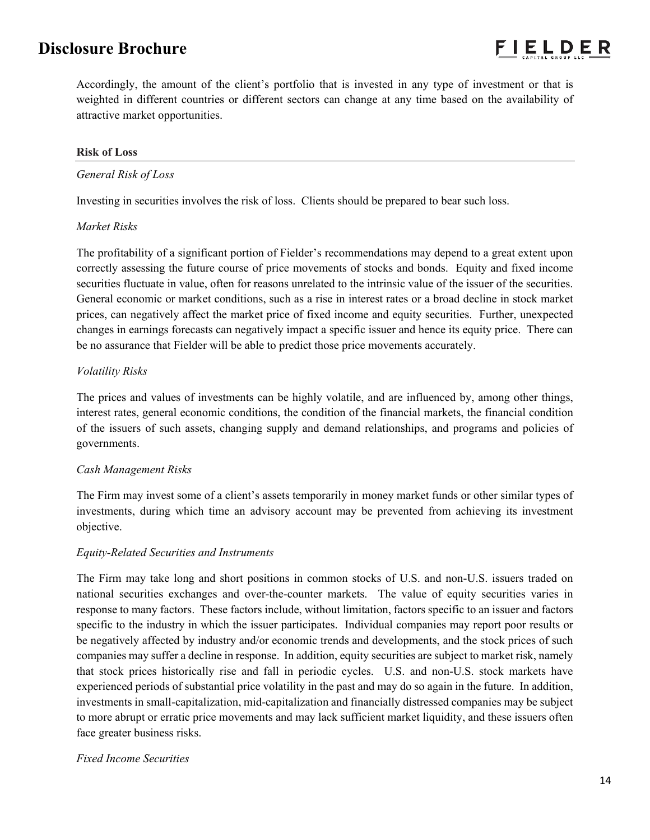Accordingly, the amount of the client's portfolio that is invested in any type of investment or that is weighted in different countries or different sectors can change at any time based on the availability of attractive market opportunities.

### **Risk of Loss**

### *General Risk of Loss*

Investing in securities involves the risk of loss. Clients should be prepared to bear such loss.

### *Market Risks*

The profitability of a significant portion of Fielder's recommendations may depend to a great extent upon correctly assessing the future course of price movements of stocks and bonds. Equity and fixed income securities fluctuate in value, often for reasons unrelated to the intrinsic value of the issuer of the securities. General economic or market conditions, such as a rise in interest rates or a broad decline in stock market prices, can negatively affect the market price of fixed income and equity securities. Further, unexpected changes in earnings forecasts can negatively impact a specific issuer and hence its equity price. There can be no assurance that Fielder will be able to predict those price movements accurately.

## *Volatility Risks*

The prices and values of investments can be highly volatile, and are influenced by, among other things, interest rates, general economic conditions, the condition of the financial markets, the financial condition of the issuers of such assets, changing supply and demand relationships, and programs and policies of governments.

## *Cash Management Risks*

The Firm may invest some of a client's assets temporarily in money market funds or other similar types of investments, during which time an advisory account may be prevented from achieving its investment objective.

### *Equity-Related Securities and Instruments*

The Firm may take long and short positions in common stocks of U.S. and non-U.S. issuers traded on national securities exchanges and over-the-counter markets. The value of equity securities varies in response to many factors. These factors include, without limitation, factors specific to an issuer and factors specific to the industry in which the issuer participates. Individual companies may report poor results or be negatively affected by industry and/or economic trends and developments, and the stock prices of such companies may suffer a decline in response. In addition, equity securities are subject to market risk, namely that stock prices historically rise and fall in periodic cycles. U.S. and non-U.S. stock markets have experienced periods of substantial price volatility in the past and may do so again in the future. In addition, investments in small-capitalization, mid-capitalization and financially distressed companies may be subject to more abrupt or erratic price movements and may lack sufficient market liquidity, and these issuers often face greater business risks.

## *Fixed Income Securities*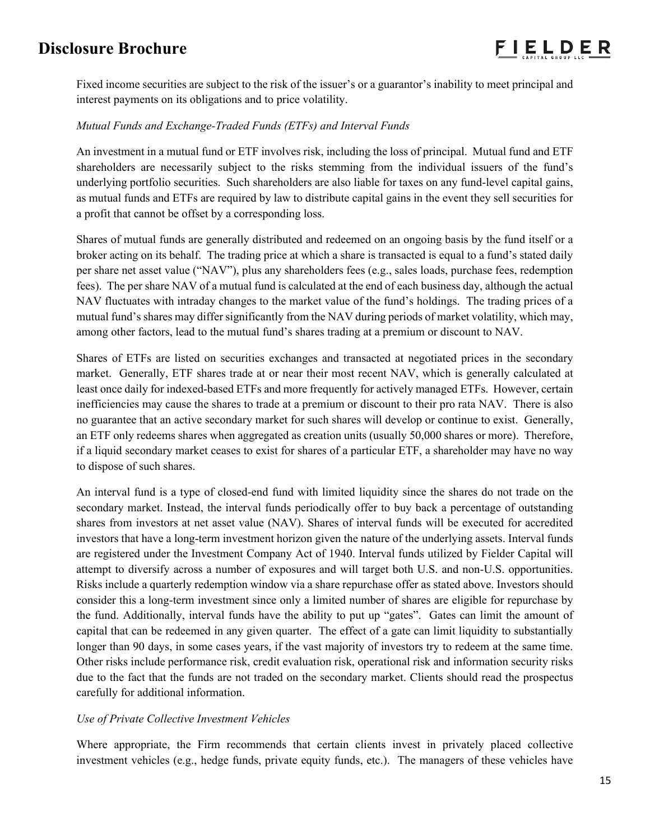Fixed income securities are subject to the risk of the issuer's or a guarantor's inability to meet principal and interest payments on its obligations and to price volatility.

## *Mutual Funds and Exchange-Traded Funds (ETFs) and Interval Funds*

An investment in a mutual fund or ETF involves risk, including the loss of principal. Mutual fund and ETF shareholders are necessarily subject to the risks stemming from the individual issuers of the fund's underlying portfolio securities. Such shareholders are also liable for taxes on any fund-level capital gains, as mutual funds and ETFs are required by law to distribute capital gains in the event they sell securities for a profit that cannot be offset by a corresponding loss.

Shares of mutual funds are generally distributed and redeemed on an ongoing basis by the fund itself or a broker acting on its behalf. The trading price at which a share is transacted is equal to a fund's stated daily per share net asset value ("NAV"), plus any shareholders fees (e.g., sales loads, purchase fees, redemption fees). The per share NAV of a mutual fund is calculated at the end of each business day, although the actual NAV fluctuates with intraday changes to the market value of the fund's holdings. The trading prices of a mutual fund's shares may differ significantly from the NAV during periods of market volatility, which may, among other factors, lead to the mutual fund's shares trading at a premium or discount to NAV.

Shares of ETFs are listed on securities exchanges and transacted at negotiated prices in the secondary market. Generally, ETF shares trade at or near their most recent NAV, which is generally calculated at least once daily for indexed-based ETFs and more frequently for actively managed ETFs. However, certain inefficiencies may cause the shares to trade at a premium or discount to their pro rata NAV. There is also no guarantee that an active secondary market for such shares will develop or continue to exist. Generally, an ETF only redeems shares when aggregated as creation units (usually 50,000 shares or more). Therefore, if a liquid secondary market ceases to exist for shares of a particular ETF, a shareholder may have no way to dispose of such shares.

An interval fund is a type of closed-end fund with limited liquidity since the shares do not trade on the secondary market. Instead, the interval funds periodically offer to buy back a percentage of outstanding shares from investors at net asset value (NAV). Shares of interval funds will be executed for accredited investors that have a long-term investment horizon given the nature of the underlying assets. Interval funds are registered under the Investment Company Act of 1940. Interval funds utilized by Fielder Capital will attempt to diversify across a number of exposures and will target both U.S. and non-U.S. opportunities. Risks include a quarterly redemption window via a share repurchase offer as stated above. Investors should consider this a long-term investment since only a limited number of shares are eligible for repurchase by the fund. Additionally, interval funds have the ability to put up "gates". Gates can limit the amount of capital that can be redeemed in any given quarter. The effect of a gate can limit liquidity to substantially longer than 90 days, in some cases years, if the vast majority of investors try to redeem at the same time. Other risks include performance risk, credit evaluation risk, operational risk and information security risks due to the fact that the funds are not traded on the secondary market. Clients should read the prospectus carefully for additional information.

## *Use of Private Collective Investment Vehicles*

Where appropriate, the Firm recommends that certain clients invest in privately placed collective investment vehicles (e.g., hedge funds, private equity funds, etc.). The managers of these vehicles have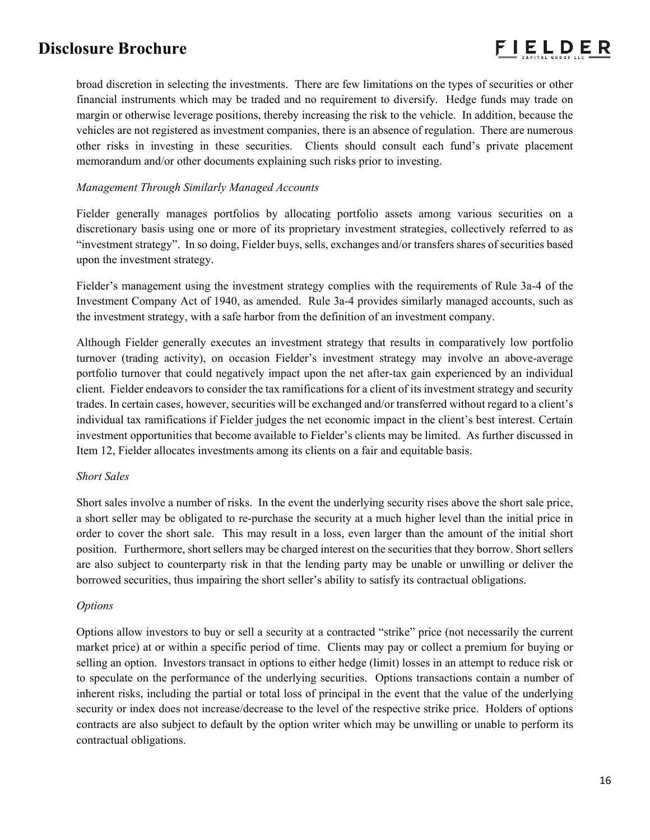broad discretion in selecting the investments. There are few limitations on the types of securities or other financial instruments which may be traded and no requirement to diversify. Hedge funds may trade on margin or otherwise leverage positions, thereby increasing the risk to the vehicle. In addition, because the vehicles are not registered as investment companies, there is an absence of regulation. There are numerous other risks in investing in these securities. Clients should consult each fund's private placement memorandum and/or other documents explaining such risks prior to investing.

## *Management Through Similarly Managed Accounts*

Fielder generally manages portfolios by allocating portfolio assets among various securities on a discretionary basis using one or more of its proprietary investment strategies, collectively referred to as "investment strategy". In so doing, Fielder buys, sells, exchanges and/or transfers shares of securities based upon the investment strategy.

Fielder's management using the investment strategy complies with the requirements of Rule 3a-4 of the Investment Company Act of 1940, as amended. Rule 3a-4 provides similarly managed accounts, such as the investment strategy, with a safe harbor from the definition of an investment company.

Although Fielder generally executes an investment strategy that results in comparatively low portfolio turnover (trading activity), on occasion Fielder's investment strategy may involve an above-average portfolio turnover that could negatively impact upon the net after-tax gain experienced by an individual client. Fielder endeavors to consider the tax ramifications for a client of its investment strategy and security trades. In certain cases, however, securities will be exchanged and/or transferred without regard to a client's individual tax ramifications if Fielder judges the net economic impact in the client's best interest. Certain investment opportunities that become available to Fielder's clients may be limited. As further discussed in Item 12, Fielder allocates investments among its clients on a fair and equitable basis.

### *Short Sales*

Short sales involve a number of risks. In the event the underlying security rises above the short sale price, a short seller may be obligated to re-purchase the security at a much higher level than the initial price in order to cover the short sale. This may result in a loss, even larger than the amount of the initial short position. Furthermore, short sellers may be charged interest on the securities that they borrow. Short sellers are also subject to counterparty risk in that the lending party may be unable or unwilling or deliver the borrowed securities, thus impairing the short seller's ability to satisfy its contractual obligations.

### *Options*

Options allow investors to buy or sell a security at a contracted "strike" price (not necessarily the current market price) at or within a specific period of time. Clients may pay or collect a premium for buying or selling an option. Investors transact in options to either hedge (limit) losses in an attempt to reduce risk or to speculate on the performance of the underlying securities. Options transactions contain a number of inherent risks, including the partial or total loss of principal in the event that the value of the underlying security or index does not increase/decrease to the level of the respective strike price. Holders of options contracts are also subject to default by the option writer which may be unwilling or unable to perform its contractual obligations.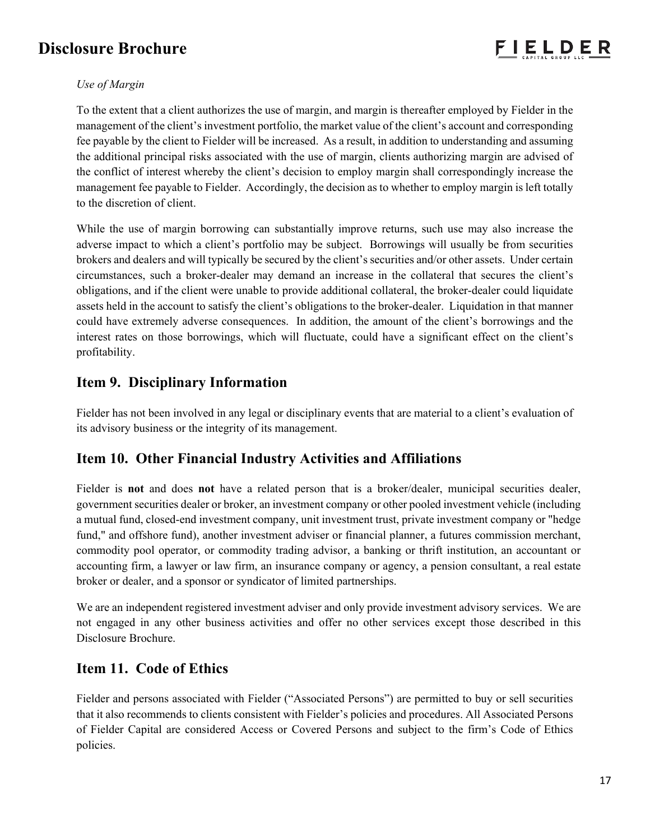## *Use of Margin*

To the extent that a client authorizes the use of margin, and margin is thereafter employed by Fielder in the management of the client's investment portfolio, the market value of the client's account and corresponding fee payable by the client to Fielder will be increased. As a result, in addition to understanding and assuming the additional principal risks associated with the use of margin, clients authorizing margin are advised of the conflict of interest whereby the client's decision to employ margin shall correspondingly increase the management fee payable to Fielder. Accordingly, the decision as to whether to employ margin is left totally to the discretion of client.

While the use of margin borrowing can substantially improve returns, such use may also increase the adverse impact to which a client's portfolio may be subject. Borrowings will usually be from securities brokers and dealers and will typically be secured by the client's securities and/or other assets. Under certain circumstances, such a broker-dealer may demand an increase in the collateral that secures the client's obligations, and if the client were unable to provide additional collateral, the broker-dealer could liquidate assets held in the account to satisfy the client's obligations to the broker-dealer. Liquidation in that manner could have extremely adverse consequences. In addition, the amount of the client's borrowings and the interest rates on those borrowings, which will fluctuate, could have a significant effect on the client's profitability.

## **Item 9. Disciplinary Information**

Fielder has not been involved in any legal or disciplinary events that are material to a client's evaluation of its advisory business or the integrity of its management.

## **Item 10. Other Financial Industry Activities and Affiliations**

Fielder is **not** and does **not** have a related person that is a broker/dealer, municipal securities dealer, government securities dealer or broker, an investment company or other pooled investment vehicle (including a mutual fund, closed-end investment company, unit investment trust, private investment company or "hedge fund," and offshore fund), another investment adviser or financial planner, a futures commission merchant, commodity pool operator, or commodity trading advisor, a banking or thrift institution, an accountant or accounting firm, a lawyer or law firm, an insurance company or agency, a pension consultant, a real estate broker or dealer, and a sponsor or syndicator of limited partnerships.

We are an independent registered investment adviser and only provide investment advisory services. We are not engaged in any other business activities and offer no other services except those described in this Disclosure Brochure.

## **Item 11. Code of Ethics**

Fielder and persons associated with Fielder ("Associated Persons") are permitted to buy or sell securities that it also recommends to clients consistent with Fielder's policies and procedures. All Associated Persons of Fielder Capital are considered Access or Covered Persons and subject to the firm's Code of Ethics policies.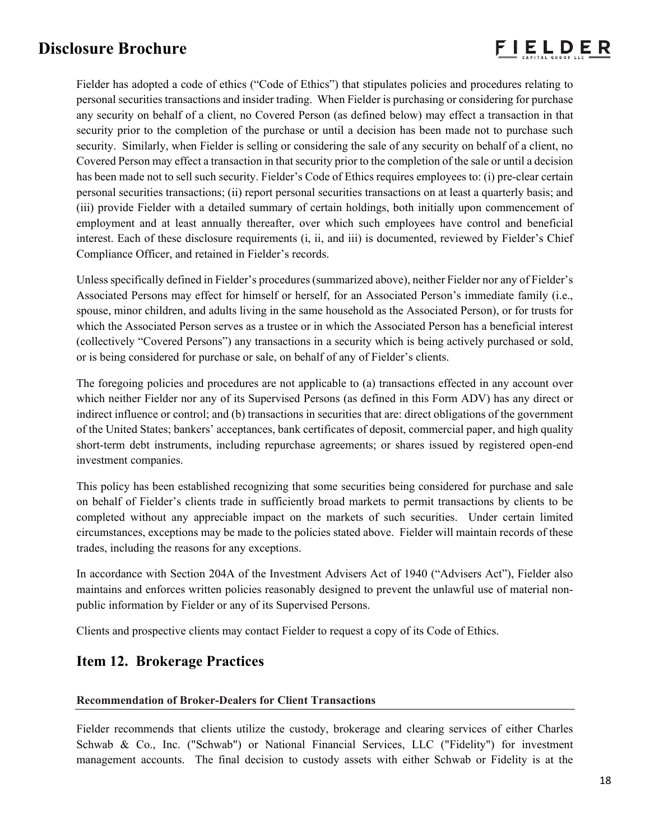

Fielder has adopted a code of ethics ("Code of Ethics") that stipulates policies and procedures relating to personal securities transactions and insider trading. When Fielder is purchasing or considering for purchase any security on behalf of a client, no Covered Person (as defined below) may effect a transaction in that security prior to the completion of the purchase or until a decision has been made not to purchase such security. Similarly, when Fielder is selling or considering the sale of any security on behalf of a client, no Covered Person may effect a transaction in that security prior to the completion of the sale or until a decision has been made not to sell such security. Fielder's Code of Ethics requires employees to: (i) pre-clear certain personal securities transactions; (ii) report personal securities transactions on at least a quarterly basis; and (iii) provide Fielder with a detailed summary of certain holdings, both initially upon commencement of employment and at least annually thereafter, over which such employees have control and beneficial interest. Each of these disclosure requirements (i, ii, and iii) is documented, reviewed by Fielder's Chief Compliance Officer, and retained in Fielder's records.

Unless specifically defined in Fielder's procedures (summarized above), neither Fielder nor any of Fielder's Associated Persons may effect for himself or herself, for an Associated Person's immediate family (i.e., spouse, minor children, and adults living in the same household as the Associated Person), or for trusts for which the Associated Person serves as a trustee or in which the Associated Person has a beneficial interest (collectively "Covered Persons") any transactions in a security which is being actively purchased or sold, or is being considered for purchase or sale, on behalf of any of Fielder's clients.

The foregoing policies and procedures are not applicable to (a) transactions effected in any account over which neither Fielder nor any of its Supervised Persons (as defined in this Form ADV) has any direct or indirect influence or control; and (b) transactions in securities that are: direct obligations of the government of the United States; bankers' acceptances, bank certificates of deposit, commercial paper, and high quality short-term debt instruments, including repurchase agreements; or shares issued by registered open-end investment companies.

This policy has been established recognizing that some securities being considered for purchase and sale on behalf of Fielder's clients trade in sufficiently broad markets to permit transactions by clients to be completed without any appreciable impact on the markets of such securities. Under certain limited circumstances, exceptions may be made to the policies stated above. Fielder will maintain records of these trades, including the reasons for any exceptions.

In accordance with Section 204A of the Investment Advisers Act of 1940 ("Advisers Act"), Fielder also maintains and enforces written policies reasonably designed to prevent the unlawful use of material nonpublic information by Fielder or any of its Supervised Persons.

Clients and prospective clients may contact Fielder to request a copy of its Code of Ethics.

# **Item 12. Brokerage Practices**

### **Recommendation of Broker-Dealers for Client Transactions**

Fielder recommends that clients utilize the custody, brokerage and clearing services of either Charles Schwab & Co., Inc. ("Schwab") or National Financial Services, LLC ("Fidelity") for investment management accounts. The final decision to custody assets with either Schwab or Fidelity is at the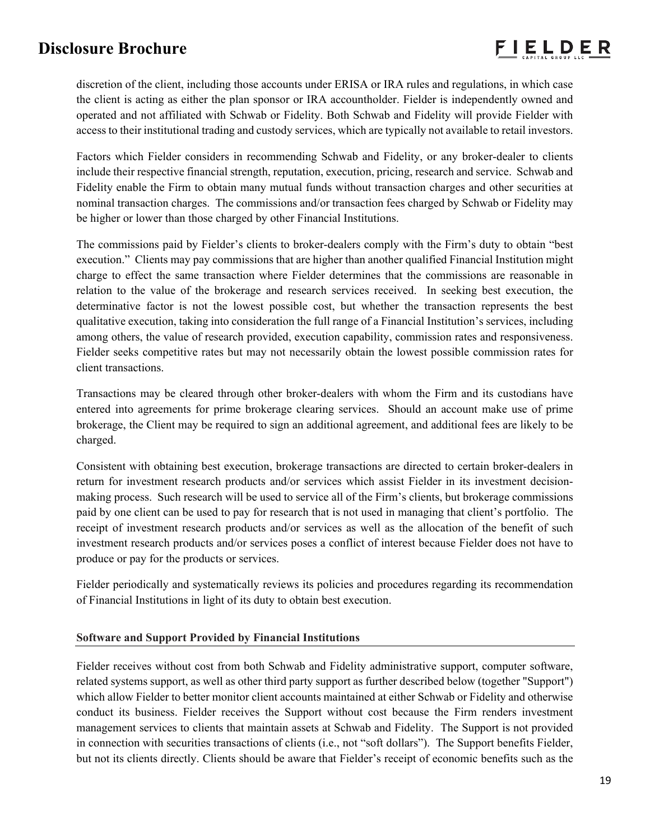discretion of the client, including those accounts under ERISA or IRA rules and regulations, in which case the client is acting as either the plan sponsor or IRA accountholder. Fielder is independently owned and operated and not affiliated with Schwab or Fidelity. Both Schwab and Fidelity will provide Fielder with access to their institutional trading and custody services, which are typically not available to retail investors.

Factors which Fielder considers in recommending Schwab and Fidelity, or any broker-dealer to clients include their respective financial strength, reputation, execution, pricing, research and service. Schwab and Fidelity enable the Firm to obtain many mutual funds without transaction charges and other securities at nominal transaction charges. The commissions and/or transaction fees charged by Schwab or Fidelity may be higher or lower than those charged by other Financial Institutions.

The commissions paid by Fielder's clients to broker-dealers comply with the Firm's duty to obtain "best execution." Clients may pay commissions that are higher than another qualified Financial Institution might charge to effect the same transaction where Fielder determines that the commissions are reasonable in relation to the value of the brokerage and research services received. In seeking best execution, the determinative factor is not the lowest possible cost, but whether the transaction represents the best qualitative execution, taking into consideration the full range of a Financial Institution's services, including among others, the value of research provided, execution capability, commission rates and responsiveness. Fielder seeks competitive rates but may not necessarily obtain the lowest possible commission rates for client transactions.

Transactions may be cleared through other broker-dealers with whom the Firm and its custodians have entered into agreements for prime brokerage clearing services. Should an account make use of prime brokerage, the Client may be required to sign an additional agreement, and additional fees are likely to be charged.

Consistent with obtaining best execution, brokerage transactions are directed to certain broker-dealers in return for investment research products and/or services which assist Fielder in its investment decisionmaking process. Such research will be used to service all of the Firm's clients, but brokerage commissions paid by one client can be used to pay for research that is not used in managing that client's portfolio. The receipt of investment research products and/or services as well as the allocation of the benefit of such investment research products and/or services poses a conflict of interest because Fielder does not have to produce or pay for the products or services.

Fielder periodically and systematically reviews its policies and procedures regarding its recommendation of Financial Institutions in light of its duty to obtain best execution.

### **Software and Support Provided by Financial Institutions**

Fielder receives without cost from both Schwab and Fidelity administrative support, computer software, related systems support, as well as other third party support as further described below (together "Support") which allow Fielder to better monitor client accounts maintained at either Schwab or Fidelity and otherwise conduct its business. Fielder receives the Support without cost because the Firm renders investment management services to clients that maintain assets at Schwab and Fidelity. The Support is not provided in connection with securities transactions of clients (i.e., not "soft dollars"). The Support benefits Fielder, but not its clients directly. Clients should be aware that Fielder's receipt of economic benefits such as the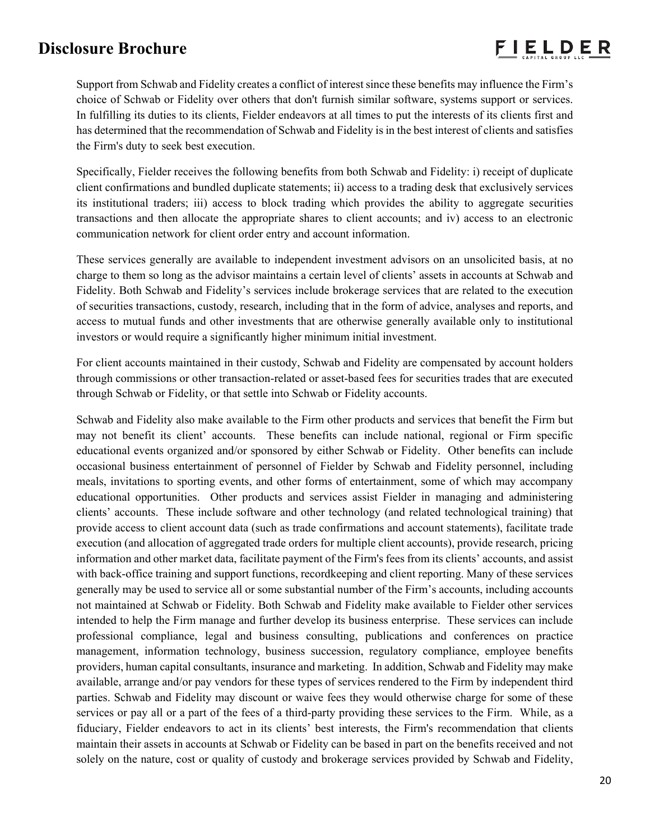Support from Schwab and Fidelity creates a conflict of interest since these benefits may influence the Firm's choice of Schwab or Fidelity over others that don't furnish similar software, systems support or services. In fulfilling its duties to its clients, Fielder endeavors at all times to put the interests of its clients first and has determined that the recommendation of Schwab and Fidelity is in the best interest of clients and satisfies the Firm's duty to seek best execution.

Specifically, Fielder receives the following benefits from both Schwab and Fidelity: i) receipt of duplicate client confirmations and bundled duplicate statements; ii) access to a trading desk that exclusively services its institutional traders; iii) access to block trading which provides the ability to aggregate securities transactions and then allocate the appropriate shares to client accounts; and iv) access to an electronic communication network for client order entry and account information.

These services generally are available to independent investment advisors on an unsolicited basis, at no charge to them so long as the advisor maintains a certain level of clients' assets in accounts at Schwab and Fidelity. Both Schwab and Fidelity's services include brokerage services that are related to the execution of securities transactions, custody, research, including that in the form of advice, analyses and reports, and access to mutual funds and other investments that are otherwise generally available only to institutional investors or would require a significantly higher minimum initial investment.

For client accounts maintained in their custody, Schwab and Fidelity are compensated by account holders through commissions or other transaction-related or asset-based fees for securities trades that are executed through Schwab or Fidelity, or that settle into Schwab or Fidelity accounts.

Schwab and Fidelity also make available to the Firm other products and services that benefit the Firm but may not benefit its client' accounts. These benefits can include national, regional or Firm specific educational events organized and/or sponsored by either Schwab or Fidelity. Other benefits can include occasional business entertainment of personnel of Fielder by Schwab and Fidelity personnel, including meals, invitations to sporting events, and other forms of entertainment, some of which may accompany educational opportunities. Other products and services assist Fielder in managing and administering clients' accounts. These include software and other technology (and related technological training) that provide access to client account data (such as trade confirmations and account statements), facilitate trade execution (and allocation of aggregated trade orders for multiple client accounts), provide research, pricing information and other market data, facilitate payment of the Firm's fees from its clients' accounts, and assist with back-office training and support functions, recordkeeping and client reporting. Many of these services generally may be used to service all or some substantial number of the Firm's accounts, including accounts not maintained at Schwab or Fidelity. Both Schwab and Fidelity make available to Fielder other services intended to help the Firm manage and further develop its business enterprise. These services can include professional compliance, legal and business consulting, publications and conferences on practice management, information technology, business succession, regulatory compliance, employee benefits providers, human capital consultants, insurance and marketing. In addition, Schwab and Fidelity may make available, arrange and/or pay vendors for these types of services rendered to the Firm by independent third parties. Schwab and Fidelity may discount or waive fees they would otherwise charge for some of these services or pay all or a part of the fees of a third-party providing these services to the Firm. While, as a fiduciary, Fielder endeavors to act in its clients' best interests, the Firm's recommendation that clients maintain their assets in accounts at Schwab or Fidelity can be based in part on the benefits received and not solely on the nature, cost or quality of custody and brokerage services provided by Schwab and Fidelity,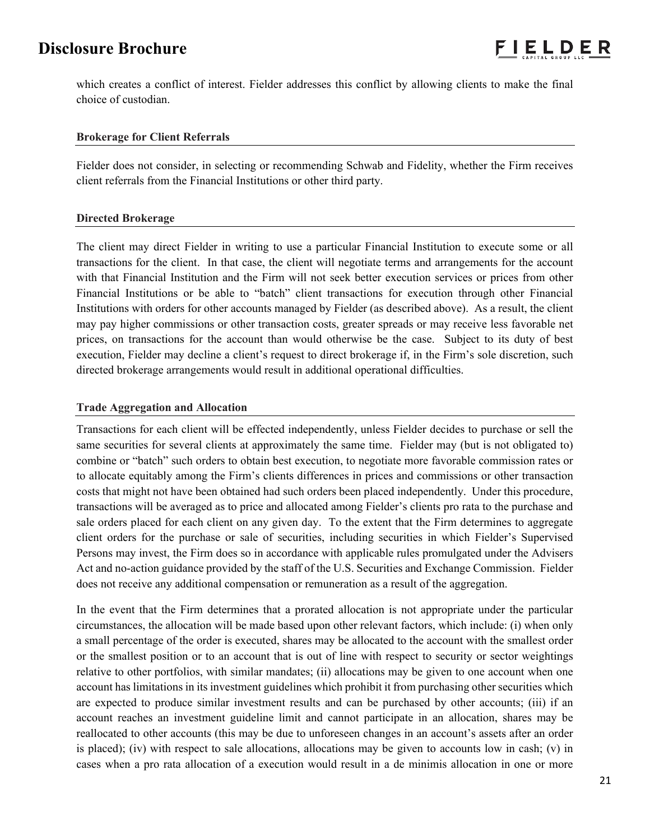which creates a conflict of interest. Fielder addresses this conflict by allowing clients to make the final choice of custodian.

### **Brokerage for Client Referrals**

Fielder does not consider, in selecting or recommending Schwab and Fidelity, whether the Firm receives client referrals from the Financial Institutions or other third party.

### **Directed Brokerage**

The client may direct Fielder in writing to use a particular Financial Institution to execute some or all transactions for the client. In that case, the client will negotiate terms and arrangements for the account with that Financial Institution and the Firm will not seek better execution services or prices from other Financial Institutions or be able to "batch" client transactions for execution through other Financial Institutions with orders for other accounts managed by Fielder (as described above). As a result, the client may pay higher commissions or other transaction costs, greater spreads or may receive less favorable net prices, on transactions for the account than would otherwise be the case. Subject to its duty of best execution, Fielder may decline a client's request to direct brokerage if, in the Firm's sole discretion, such directed brokerage arrangements would result in additional operational difficulties.

### **Trade Aggregation and Allocation**

Transactions for each client will be effected independently, unless Fielder decides to purchase or sell the same securities for several clients at approximately the same time. Fielder may (but is not obligated to) combine or "batch" such orders to obtain best execution, to negotiate more favorable commission rates or to allocate equitably among the Firm's clients differences in prices and commissions or other transaction costs that might not have been obtained had such orders been placed independently. Under this procedure, transactions will be averaged as to price and allocated among Fielder's clients pro rata to the purchase and sale orders placed for each client on any given day. To the extent that the Firm determines to aggregate client orders for the purchase or sale of securities, including securities in which Fielder's Supervised Persons may invest, the Firm does so in accordance with applicable rules promulgated under the Advisers Act and no-action guidance provided by the staff of the U.S. Securities and Exchange Commission. Fielder does not receive any additional compensation or remuneration as a result of the aggregation.

In the event that the Firm determines that a prorated allocation is not appropriate under the particular circumstances, the allocation will be made based upon other relevant factors, which include: (i) when only a small percentage of the order is executed, shares may be allocated to the account with the smallest order or the smallest position or to an account that is out of line with respect to security or sector weightings relative to other portfolios, with similar mandates; (ii) allocations may be given to one account when one account has limitations in its investment guidelines which prohibit it from purchasing other securities which are expected to produce similar investment results and can be purchased by other accounts; (iii) if an account reaches an investment guideline limit and cannot participate in an allocation, shares may be reallocated to other accounts (this may be due to unforeseen changes in an account's assets after an order is placed); (iv) with respect to sale allocations, allocations may be given to accounts low in cash; (v) in cases when a pro rata allocation of a execution would result in a de minimis allocation in one or more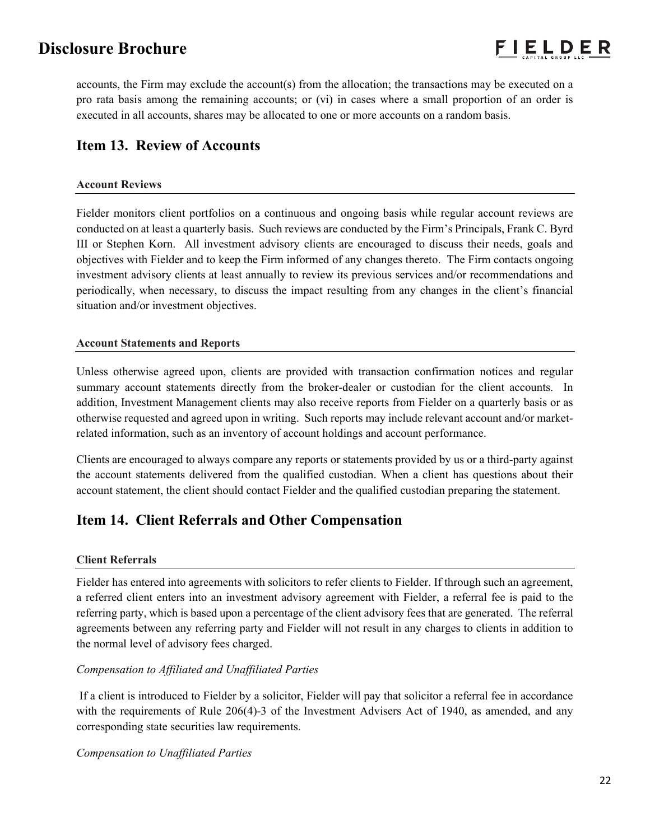accounts, the Firm may exclude the account(s) from the allocation; the transactions may be executed on a pro rata basis among the remaining accounts; or (vi) in cases where a small proportion of an order is executed in all accounts, shares may be allocated to one or more accounts on a random basis.

## **Item 13. Review of Accounts**

## **Account Reviews**

Fielder monitors client portfolios on a continuous and ongoing basis while regular account reviews are conducted on at least a quarterly basis. Such reviews are conducted by the Firm's Principals, Frank C. Byrd III or Stephen Korn. All investment advisory clients are encouraged to discuss their needs, goals and objectives with Fielder and to keep the Firm informed of any changes thereto. The Firm contacts ongoing investment advisory clients at least annually to review its previous services and/or recommendations and periodically, when necessary, to discuss the impact resulting from any changes in the client's financial situation and/or investment objectives.

### **Account Statements and Reports**

Unless otherwise agreed upon, clients are provided with transaction confirmation notices and regular summary account statements directly from the broker-dealer or custodian for the client accounts. In addition, Investment Management clients may also receive reports from Fielder on a quarterly basis or as otherwise requested and agreed upon in writing. Such reports may include relevant account and/or marketrelated information, such as an inventory of account holdings and account performance.

Clients are encouraged to always compare any reports or statements provided by us or a third-party against the account statements delivered from the qualified custodian. When a client has questions about their account statement, the client should contact Fielder and the qualified custodian preparing the statement.

# **Item 14. Client Referrals and Other Compensation**

### **Client Referrals**

Fielder has entered into agreements with solicitors to refer clients to Fielder. If through such an agreement, a referred client enters into an investment advisory agreement with Fielder, a referral fee is paid to the referring party, which is based upon a percentage of the client advisory fees that are generated. The referral agreements between any referring party and Fielder will not result in any charges to clients in addition to the normal level of advisory fees charged.

### *Compensation to Affiliated and Unaffiliated Parties*

If a client is introduced to Fielder by a solicitor, Fielder will pay that solicitor a referral fee in accordance with the requirements of Rule 206(4)-3 of the Investment Advisers Act of 1940, as amended, and any corresponding state securities law requirements.

### *Compensation to Unaffiliated Parties*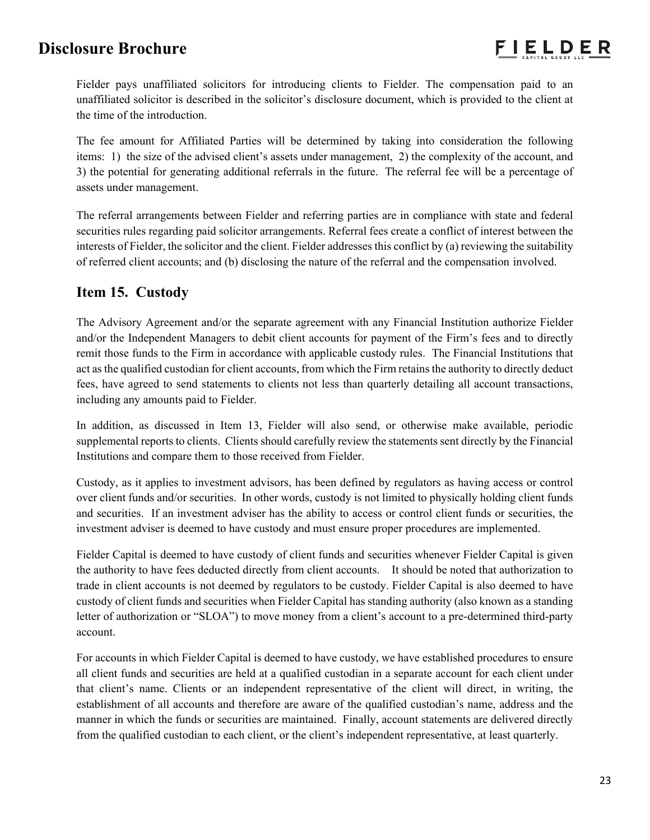Fielder pays unaffiliated solicitors for introducing clients to Fielder. The compensation paid to an unaffiliated solicitor is described in the solicitor's disclosure document, which is provided to the client at the time of the introduction.

The fee amount for Affiliated Parties will be determined by taking into consideration the following items: 1) the size of the advised client's assets under management, 2) the complexity of the account, and 3) the potential for generating additional referrals in the future. The referral fee will be a percentage of assets under management.

The referral arrangements between Fielder and referring parties are in compliance with state and federal securities rules regarding paid solicitor arrangements. Referral fees create a conflict of interest between the interests of Fielder, the solicitor and the client. Fielder addresses this conflict by (a) reviewing the suitability of referred client accounts; and (b) disclosing the nature of the referral and the compensation involved.

## **Item 15. Custody**

The Advisory Agreement and/or the separate agreement with any Financial Institution authorize Fielder and/or the Independent Managers to debit client accounts for payment of the Firm's fees and to directly remit those funds to the Firm in accordance with applicable custody rules. The Financial Institutions that act as the qualified custodian for client accounts, from which the Firm retains the authority to directly deduct fees, have agreed to send statements to clients not less than quarterly detailing all account transactions, including any amounts paid to Fielder.

In addition, as discussed in Item 13, Fielder will also send, or otherwise make available, periodic supplemental reports to clients. Clients should carefully review the statements sent directly by the Financial Institutions and compare them to those received from Fielder.

Custody, as it applies to investment advisors, has been defined by regulators as having access or control over client funds and/or securities. In other words, custody is not limited to physically holding client funds and securities. If an investment adviser has the ability to access or control client funds or securities, the investment adviser is deemed to have custody and must ensure proper procedures are implemented.

Fielder Capital is deemed to have custody of client funds and securities whenever Fielder Capital is given the authority to have fees deducted directly from client accounts. It should be noted that authorization to trade in client accounts is not deemed by regulators to be custody. Fielder Capital is also deemed to have custody of client funds and securities when Fielder Capital has standing authority (also known as a standing letter of authorization or "SLOA") to move money from a client's account to a pre-determined third-party account.

For accounts in which Fielder Capital is deemed to have custody, we have established procedures to ensure all client funds and securities are held at a qualified custodian in a separate account for each client under that client's name. Clients or an independent representative of the client will direct, in writing, the establishment of all accounts and therefore are aware of the qualified custodian's name, address and the manner in which the funds or securities are maintained. Finally, account statements are delivered directly from the qualified custodian to each client, or the client's independent representative, at least quarterly.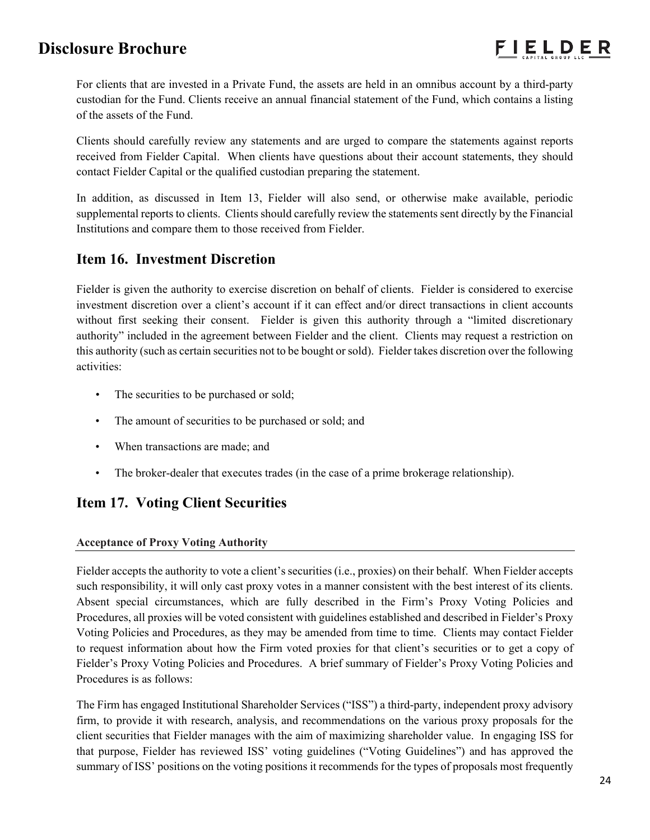For clients that are invested in a Private Fund, the assets are held in an omnibus account by a third-party custodian for the Fund. Clients receive an annual financial statement of the Fund, which contains a listing of the assets of the Fund.

Clients should carefully review any statements and are urged to compare the statements against reports received from Fielder Capital. When clients have questions about their account statements, they should contact Fielder Capital or the qualified custodian preparing the statement.

In addition, as discussed in Item 13, Fielder will also send, or otherwise make available, periodic supplemental reports to clients. Clients should carefully review the statements sent directly by the Financial Institutions and compare them to those received from Fielder.

## **Item 16. Investment Discretion**

Fielder is given the authority to exercise discretion on behalf of clients. Fielder is considered to exercise investment discretion over a client's account if it can effect and/or direct transactions in client accounts without first seeking their consent. Fielder is given this authority through a "limited discretionary authority" included in the agreement between Fielder and the client. Clients may request a restriction on this authority (such as certain securities not to be bought or sold). Fielder takes discretion over the following activities:

- The securities to be purchased or sold;
- The amount of securities to be purchased or sold; and
- When transactions are made; and
- The broker-dealer that executes trades (in the case of a prime brokerage relationship).

# **Item 17. Voting Client Securities**

## **Acceptance of Proxy Voting Authority**

Fielder accepts the authority to vote a client's securities (i.e., proxies) on their behalf. When Fielder accepts such responsibility, it will only cast proxy votes in a manner consistent with the best interest of its clients. Absent special circumstances, which are fully described in the Firm's Proxy Voting Policies and Procedures, all proxies will be voted consistent with guidelines established and described in Fielder's Proxy Voting Policies and Procedures, as they may be amended from time to time. Clients may contact Fielder to request information about how the Firm voted proxies for that client's securities or to get a copy of Fielder's Proxy Voting Policies and Procedures. A brief summary of Fielder's Proxy Voting Policies and Procedures is as follows:

The Firm has engaged Institutional Shareholder Services ("ISS") a third-party, independent proxy advisory firm, to provide it with research, analysis, and recommendations on the various proxy proposals for the client securities that Fielder manages with the aim of maximizing shareholder value. In engaging ISS for that purpose, Fielder has reviewed ISS' voting guidelines ("Voting Guidelines") and has approved the summary of ISS' positions on the voting positions it recommends for the types of proposals most frequently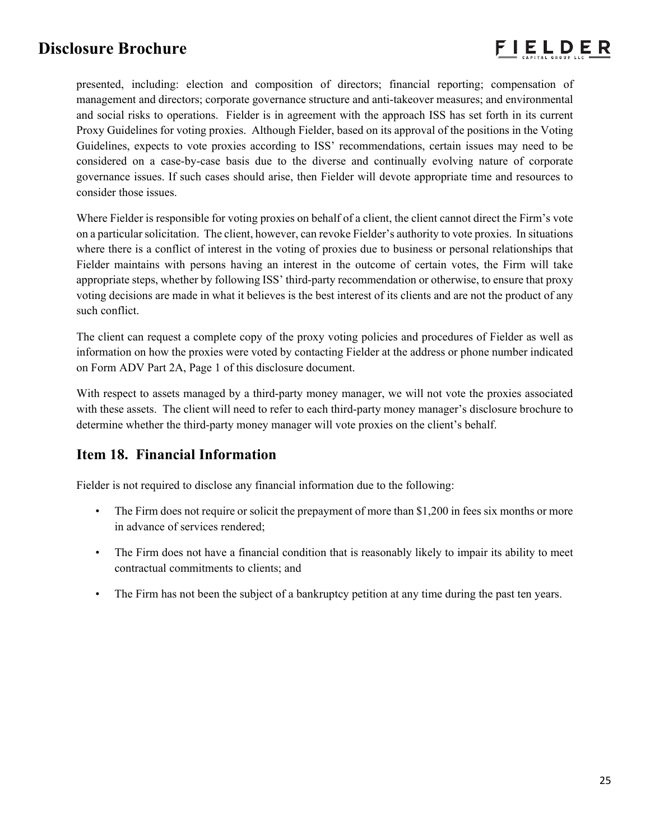

presented, including: election and composition of directors; financial reporting; compensation of management and directors; corporate governance structure and anti-takeover measures; and environmental and social risks to operations. Fielder is in agreement with the approach ISS has set forth in its current Proxy Guidelines for voting proxies. Although Fielder, based on its approval of the positions in the Voting Guidelines, expects to vote proxies according to ISS' recommendations, certain issues may need to be considered on a case-by-case basis due to the diverse and continually evolving nature of corporate governance issues. If such cases should arise, then Fielder will devote appropriate time and resources to consider those issues.

Where Fielder is responsible for voting proxies on behalf of a client, the client cannot direct the Firm's vote on a particular solicitation. The client, however, can revoke Fielder's authority to vote proxies. In situations where there is a conflict of interest in the voting of proxies due to business or personal relationships that Fielder maintains with persons having an interest in the outcome of certain votes, the Firm will take appropriate steps, whether by following ISS' third-party recommendation or otherwise, to ensure that proxy voting decisions are made in what it believes is the best interest of its clients and are not the product of any such conflict.

The client can request a complete copy of the proxy voting policies and procedures of Fielder as well as information on how the proxies were voted by contacting Fielder at the address or phone number indicated on Form ADV Part 2A, Page 1 of this disclosure document.

With respect to assets managed by a third-party money manager, we will not vote the proxies associated with these assets. The client will need to refer to each third-party money manager's disclosure brochure to determine whether the third-party money manager will vote proxies on the client's behalf.

# **Item 18. Financial Information**

Fielder is not required to disclose any financial information due to the following:

- The Firm does not require or solicit the prepayment of more than \$1,200 in fees six months or more in advance of services rendered;
- The Firm does not have a financial condition that is reasonably likely to impair its ability to meet contractual commitments to clients; and
- The Firm has not been the subject of a bankruptcy petition at any time during the past ten years.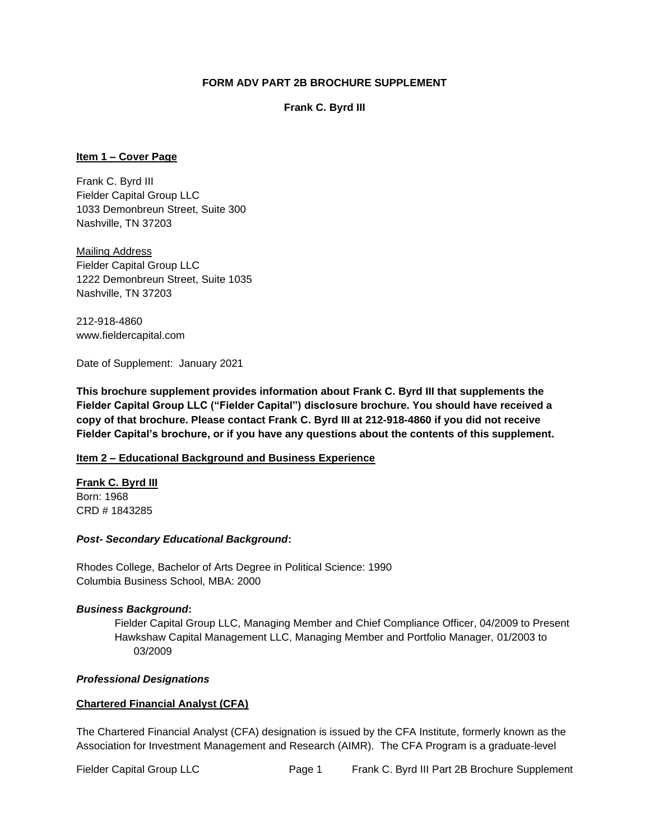### **FORM ADV PART 2B BROCHURE SUPPLEMENT**

### **Frank C. Byrd III**

### **Item 1 – Cover Page**

Frank C. Byrd III Fielder Capital Group LLC 1033 Demonbreun Street, Suite 300 Nashville, TN 37203

Mailing Address Fielder Capital Group LLC 1222 Demonbreun Street, Suite 1035 Nashville, TN 37203

212-918-4860 www.fieldercapital.com

Date of Supplement: January 2021

**This brochure supplement provides information about Frank C. Byrd III that supplements the Fielder Capital Group LLC ("Fielder Capital") disclosure brochure. You should have received a copy of that brochure. Please contact Frank C. Byrd III at 212-918-4860 if you did not receive Fielder Capital's brochure, or if you have any questions about the contents of this supplement.** 

### **Item 2 – Educational Background and Business Experience**

**Frank C. Byrd III** Born: 1968 CRD # 1843285

### *Post- Secondary Educational Background***:**

Rhodes College, Bachelor of Arts Degree in Political Science: 1990 Columbia Business School, MBA: 2000

### *Business Background***:**

Fielder Capital Group LLC, Managing Member and Chief Compliance Officer, 04/2009 to Present Hawkshaw Capital Management LLC, Managing Member and Portfolio Manager, 01/2003 to 03/2009

### *Professional Designations*

### **Chartered Financial Analyst (CFA)**

The Chartered Financial Analyst (CFA) designation is issued by the CFA Institute, formerly known as the Association for Investment Management and Research (AIMR). The CFA Program is a graduate-level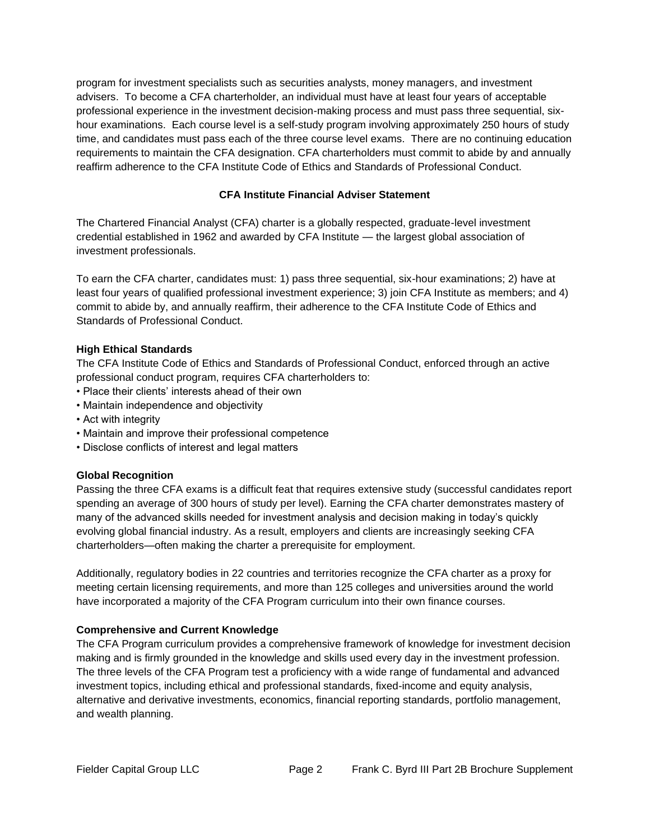program for investment specialists such as securities analysts, money managers, and investment advisers. To become a CFA charterholder, an individual must have at least four years of acceptable professional experience in the investment decision-making process and must pass three sequential, sixhour examinations. Each course level is a self-study program involving approximately 250 hours of study time, and candidates must pass each of the three course level exams. There are no continuing education requirements to maintain the CFA designation. CFA charterholders must commit to abide by and annually reaffirm adherence to the CFA Institute Code of Ethics and Standards of Professional Conduct.

## **CFA Institute Financial Adviser Statement**

The Chartered Financial Analyst (CFA) charter is a globally respected, graduate-level investment credential established in 1962 and awarded by CFA Institute — the largest global association of investment professionals.

To earn the CFA charter, candidates must: 1) pass three sequential, six-hour examinations; 2) have at least four years of qualified professional investment experience; 3) join CFA Institute as members; and 4) commit to abide by, and annually reaffirm, their adherence to the CFA Institute Code of Ethics and Standards of Professional Conduct.

### **High Ethical Standards**

The CFA Institute Code of Ethics and Standards of Professional Conduct, enforced through an active professional conduct program, requires CFA charterholders to:

- Place their clients' interests ahead of their own
- Maintain independence and objectivity
- Act with integrity
- Maintain and improve their professional competence
- Disclose conflicts of interest and legal matters

### **Global Recognition**

Passing the three CFA exams is a difficult feat that requires extensive study (successful candidates report spending an average of 300 hours of study per level). Earning the CFA charter demonstrates mastery of many of the advanced skills needed for investment analysis and decision making in today's quickly evolving global financial industry. As a result, employers and clients are increasingly seeking CFA charterholders—often making the charter a prerequisite for employment.

Additionally, regulatory bodies in 22 countries and territories recognize the CFA charter as a proxy for meeting certain licensing requirements, and more than 125 colleges and universities around the world have incorporated a majority of the CFA Program curriculum into their own finance courses.

### **Comprehensive and Current Knowledge**

The CFA Program curriculum provides a comprehensive framework of knowledge for investment decision making and is firmly grounded in the knowledge and skills used every day in the investment profession. The three levels of the CFA Program test a proficiency with a wide range of fundamental and advanced investment topics, including ethical and professional standards, fixed-income and equity analysis, alternative and derivative investments, economics, financial reporting standards, portfolio management, and wealth planning.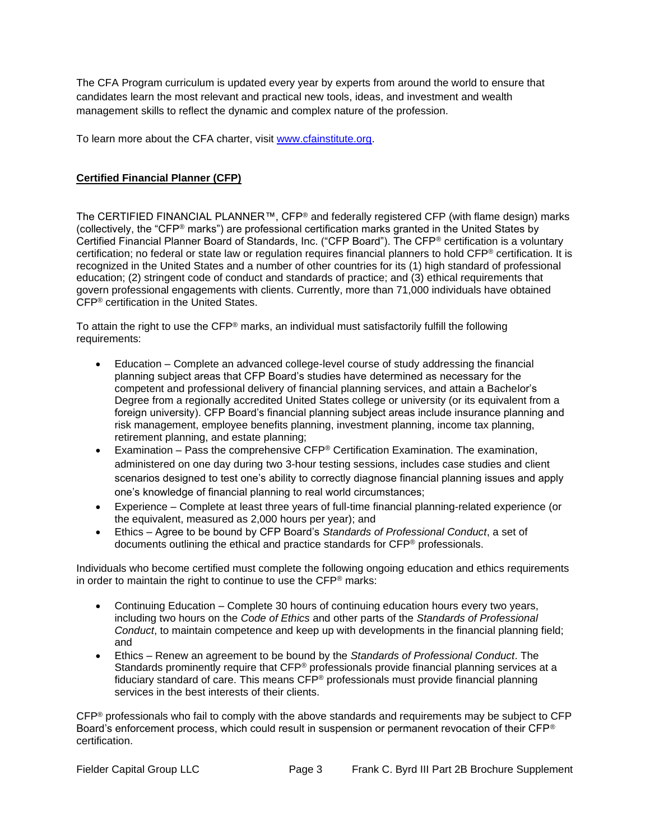The CFA Program curriculum is updated every year by experts from around the world to ensure that candidates learn the most relevant and practical new tools, ideas, and investment and wealth management skills to reflect the dynamic and complex nature of the profession.

To learn more about the CFA charter, visit www.cfainstitute.org.

### **Certified Financial Planner (CFP)**

The CERTIFIED FINANCIAL PLANNER™, CFP® and federally registered CFP (with flame design) marks (collectively, the "CFP® marks") are professional certification marks granted in the United States by Certified Financial Planner Board of Standards, Inc. ("CFP Board"). The CFP® certification is a voluntary certification; no federal or state law or regulation requires financial planners to hold CFP® certification. It is recognized in the United States and a number of other countries for its (1) high standard of professional education; (2) stringent code of conduct and standards of practice; and (3) ethical requirements that govern professional engagements with clients. Currently, more than 71,000 individuals have obtained CFP® certification in the United States.

To attain the right to use the CFP® marks, an individual must satisfactorily fulfill the following requirements:

- Education Complete an advanced college-level course of study addressing the financial planning subject areas that CFP Board's studies have determined as necessary for the competent and professional delivery of financial planning services, and attain a Bachelor's Degree from a regionally accredited United States college or university (or its equivalent from a foreign university). CFP Board's financial planning subject areas include insurance planning and risk management, employee benefits planning, investment planning, income tax planning, retirement planning, and estate planning;
- Examination Pass the comprehensive  $CFP^{\circledast}$  Certification Examination. The examination, administered on one day during two 3-hour testing sessions, includes case studies and client scenarios designed to test one's ability to correctly diagnose financial planning issues and apply one's knowledge of financial planning to real world circumstances;
- Experience Complete at least three years of full-time financial planning-related experience (or the equivalent, measured as 2,000 hours per year); and
- Ethics Agree to be bound by CFP Board's *Standards of Professional Conduct*, a set of documents outlining the ethical and practice standards for CFP® professionals.

Individuals who become certified must complete the following ongoing education and ethics requirements in order to maintain the right to continue to use the CFP® marks:

- Continuing Education Complete 30 hours of continuing education hours every two years, including two hours on the *Code of Ethics* and other parts of the *Standards of Professional Conduct*, to maintain competence and keep up with developments in the financial planning field; and
- Ethics Renew an agreement to be bound by the *Standards of Professional Conduct*. The Standards prominently require that CFP® professionals provide financial planning services at a fiduciary standard of care. This means CFP® professionals must provide financial planning services in the best interests of their clients.

CFP® professionals who fail to comply with the above standards and requirements may be subject to CFP Board's enforcement process, which could result in suspension or permanent revocation of their CFP® certification.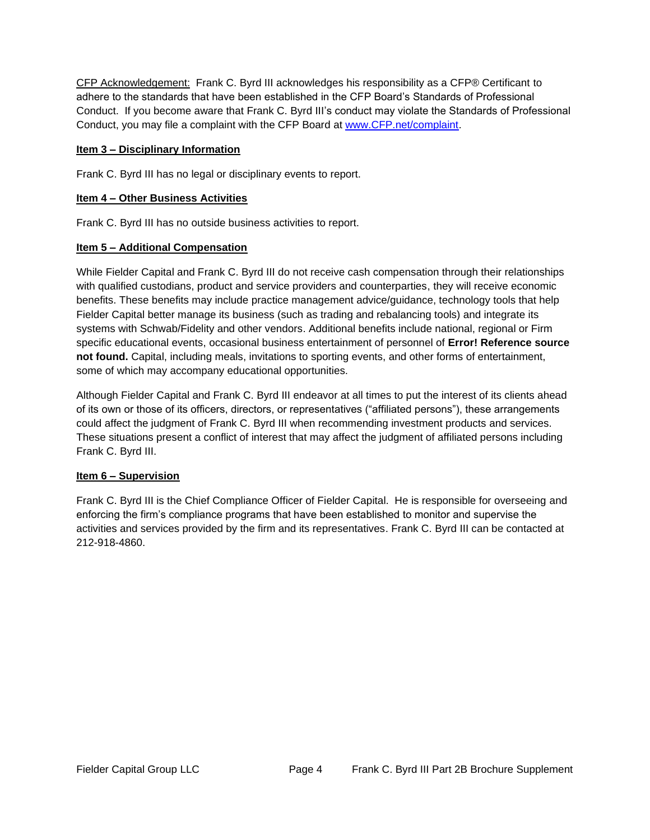CFP Acknowledgement: Frank C. Byrd III acknowledges his responsibility as a CFP® Certificant to adhere to the standards that have been established in the CFP Board's Standards of Professional Conduct. If you become aware that Frank C. Byrd III's conduct may violate the Standards of Professional Conduct, you may file a complaint with the CFP Board at [www.CFP.net/complaint.](http://www.cfp.net/complaint)

### **Item 3 – Disciplinary Information**

Frank C. Byrd III has no legal or disciplinary events to report.

### **Item 4 – Other Business Activities**

Frank C. Byrd III has no outside business activities to report.

### **Item 5 – Additional Compensation**

While Fielder Capital and Frank C. Byrd III do not receive cash compensation through their relationships with qualified custodians, product and service providers and counterparties, they will receive economic benefits. These benefits may include practice management advice/guidance, technology tools that help Fielder Capital better manage its business (such as trading and rebalancing tools) and integrate its systems with Schwab/Fidelity and other vendors. Additional benefits include national, regional or Firm specific educational events, occasional business entertainment of personnel of **Error! Reference source not found.** Capital, including meals, invitations to sporting events, and other forms of entertainment, some of which may accompany educational opportunities.

Although Fielder Capital and Frank C. Byrd III endeavor at all times to put the interest of its clients ahead of its own or those of its officers, directors, or representatives ("affiliated persons"), these arrangements could affect the judgment of Frank C. Byrd III when recommending investment products and services. These situations present a conflict of interest that may affect the judgment of affiliated persons including Frank C. Byrd III.

### **Item 6 – Supervision**

Frank C. Byrd III is the Chief Compliance Officer of Fielder Capital. He is responsible for overseeing and enforcing the firm's compliance programs that have been established to monitor and supervise the activities and services provided by the firm and its representatives. Frank C. Byrd III can be contacted at 212-918-4860.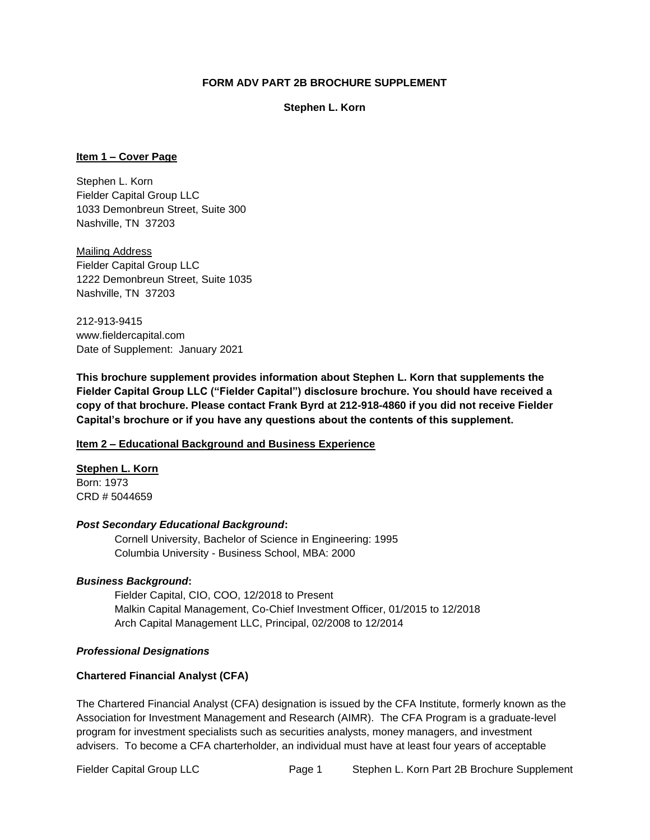### **FORM ADV PART 2B BROCHURE SUPPLEMENT**

#### **Stephen L. Korn**

### **Item 1 – Cover Page**

Stephen L. Korn Fielder Capital Group LLC 1033 Demonbreun Street, Suite 300 Nashville, TN 37203

Mailing Address Fielder Capital Group LLC 1222 Demonbreun Street, Suite 1035 Nashville, TN 37203

212-913-9415 www.fieldercapital.com Date of Supplement: January 2021

**This brochure supplement provides information about Stephen L. Korn that supplements the Fielder Capital Group LLC ("Fielder Capital") disclosure brochure. You should have received a copy of that brochure. Please contact Frank Byrd at 212-918-4860 if you did not receive Fielder Capital's brochure or if you have any questions about the contents of this supplement.** 

### **Item 2 – Educational Background and Business Experience**

**Stephen L. Korn** Born: 1973 CRD # 5044659

### *Post Secondary Educational Background***:**

Cornell University, Bachelor of Science in Engineering: 1995 Columbia University - Business School, MBA: 2000

### *Business Background***:**

Fielder Capital, CIO, COO, 12/2018 to Present Malkin Capital Management, Co-Chief Investment Officer, 01/2015 to 12/2018 Arch Capital Management LLC, Principal, 02/2008 to 12/2014

### *Professional Designations*

### **Chartered Financial Analyst (CFA)**

The Chartered Financial Analyst (CFA) designation is issued by the CFA Institute, formerly known as the Association for Investment Management and Research (AIMR). The CFA Program is a graduate-level program for investment specialists such as securities analysts, money managers, and investment advisers. To become a CFA charterholder, an individual must have at least four years of acceptable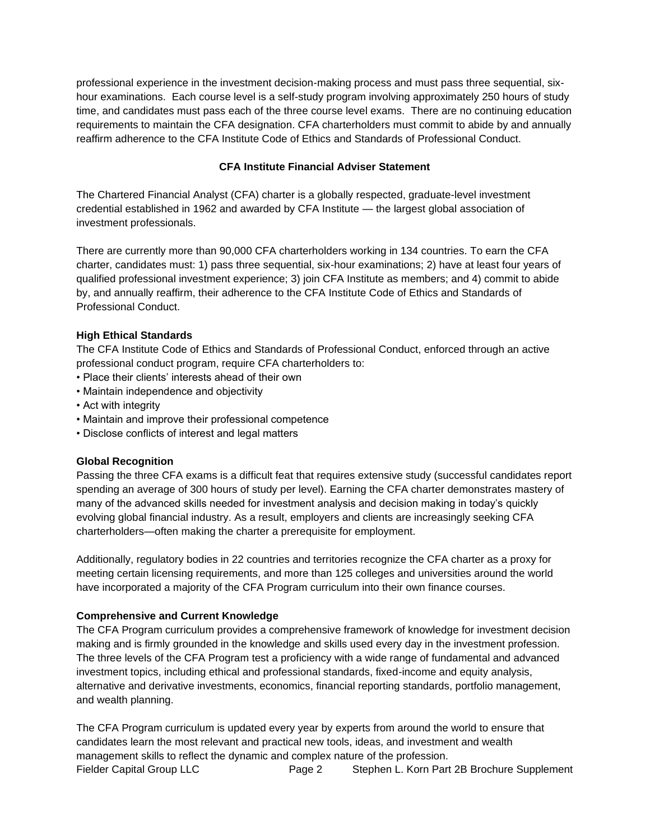professional experience in the investment decision-making process and must pass three sequential, sixhour examinations. Each course level is a self-study program involving approximately 250 hours of study time, and candidates must pass each of the three course level exams. There are no continuing education requirements to maintain the CFA designation. CFA charterholders must commit to abide by and annually reaffirm adherence to the CFA Institute Code of Ethics and Standards of Professional Conduct.

## **CFA Institute Financial Adviser Statement**

The Chartered Financial Analyst (CFA) charter is a globally respected, graduate-level investment credential established in 1962 and awarded by CFA Institute — the largest global association of investment professionals.

There are currently more than 90,000 CFA charterholders working in 134 countries. To earn the CFA charter, candidates must: 1) pass three sequential, six-hour examinations; 2) have at least four years of qualified professional investment experience; 3) join CFA Institute as members; and 4) commit to abide by, and annually reaffirm, their adherence to the CFA Institute Code of Ethics and Standards of Professional Conduct.

### **High Ethical Standards**

The CFA Institute Code of Ethics and Standards of Professional Conduct, enforced through an active professional conduct program, require CFA charterholders to:

- Place their clients' interests ahead of their own
- Maintain independence and objectivity
- Act with integrity
- Maintain and improve their professional competence
- Disclose conflicts of interest and legal matters

### **Global Recognition**

Passing the three CFA exams is a difficult feat that requires extensive study (successful candidates report spending an average of 300 hours of study per level). Earning the CFA charter demonstrates mastery of many of the advanced skills needed for investment analysis and decision making in today's quickly evolving global financial industry. As a result, employers and clients are increasingly seeking CFA charterholders—often making the charter a prerequisite for employment.

Additionally, regulatory bodies in 22 countries and territories recognize the CFA charter as a proxy for meeting certain licensing requirements, and more than 125 colleges and universities around the world have incorporated a majority of the CFA Program curriculum into their own finance courses.

### **Comprehensive and Current Knowledge**

The CFA Program curriculum provides a comprehensive framework of knowledge for investment decision making and is firmly grounded in the knowledge and skills used every day in the investment profession. The three levels of the CFA Program test a proficiency with a wide range of fundamental and advanced investment topics, including ethical and professional standards, fixed-income and equity analysis, alternative and derivative investments, economics, financial reporting standards, portfolio management, and wealth planning.

Fielder Capital Group LLC Page 2 Stephen L. Korn Part 2B Brochure Supplement The CFA Program curriculum is updated every year by experts from around the world to ensure that candidates learn the most relevant and practical new tools, ideas, and investment and wealth management skills to reflect the dynamic and complex nature of the profession.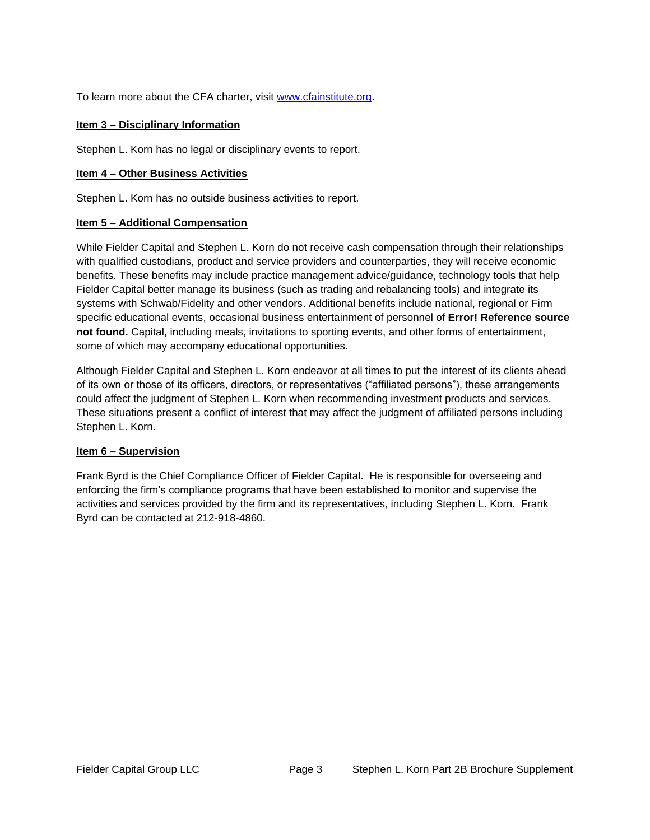To learn more about the CFA charter, visit [www.cfainstitute.org.](http://www.cfainstitute.org/)

### **Item 3 – Disciplinary Information**

Stephen L. Korn has no legal or disciplinary events to report.

### **Item 4 – Other Business Activities**

Stephen L. Korn has no outside business activities to report.

## **Item 5 – Additional Compensation**

While Fielder Capital and Stephen L. Korn do not receive cash compensation through their relationships with qualified custodians, product and service providers and counterparties, they will receive economic benefits. These benefits may include practice management advice/guidance, technology tools that help Fielder Capital better manage its business (such as trading and rebalancing tools) and integrate its systems with Schwab/Fidelity and other vendors. Additional benefits include national, regional or Firm specific educational events, occasional business entertainment of personnel of **Error! Reference source not found.** Capital, including meals, invitations to sporting events, and other forms of entertainment, some of which may accompany educational opportunities.

Although Fielder Capital and Stephen L. Korn endeavor at all times to put the interest of its clients ahead of its own or those of its officers, directors, or representatives ("affiliated persons"), these arrangements could affect the judgment of Stephen L. Korn when recommending investment products and services. These situations present a conflict of interest that may affect the judgment of affiliated persons including Stephen L. Korn.

### **Item 6 – Supervision**

Frank Byrd is the Chief Compliance Officer of Fielder Capital. He is responsible for overseeing and enforcing the firm's compliance programs that have been established to monitor and supervise the activities and services provided by the firm and its representatives, including Stephen L. Korn. Frank Byrd can be contacted at 212-918-4860.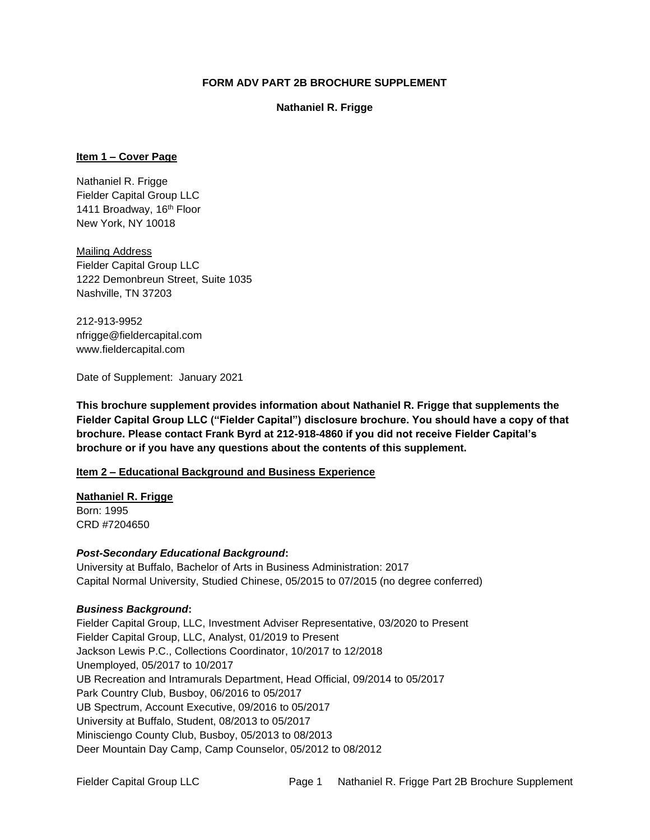### **FORM ADV PART 2B BROCHURE SUPPLEMENT**

### **Nathaniel R. Frigge**

### **Item 1 – Cover Page**

Nathaniel R. Frigge Fielder Capital Group LLC 1411 Broadway, 16<sup>th</sup> Floor New York, NY 10018

Mailing Address Fielder Capital Group LLC 1222 Demonbreun Street, Suite 1035 Nashville, TN 37203

212-913-9952 nfrigge@fieldercapital.com www.fieldercapital.com

Date of Supplement: January 2021

**This brochure supplement provides information about Nathaniel R. Frigge that supplements the Fielder Capital Group LLC ("Fielder Capital") disclosure brochure. You should have a copy of that brochure. Please contact Frank Byrd at 212-918-4860 if you did not receive Fielder Capital's brochure or if you have any questions about the contents of this supplement.** 

## **Item 2 – Educational Background and Business Experience**

## **Nathaniel R. Frigge**

Born: 1995 CRD #7204650

### *Post-Secondary Educational Background***:**

University at Buffalo, Bachelor of Arts in Business Administration: 2017 Capital Normal University, Studied Chinese, 05/2015 to 07/2015 (no degree conferred)

### *Business Background***:**

Fielder Capital Group, LLC, Investment Adviser Representative, 03/2020 to Present Fielder Capital Group, LLC, Analyst, 01/2019 to Present Jackson Lewis P.C., Collections Coordinator, 10/2017 to 12/2018 Unemployed, 05/2017 to 10/2017 UB Recreation and Intramurals Department, Head Official, 09/2014 to 05/2017 Park Country Club, Busboy, 06/2016 to 05/2017 UB Spectrum, Account Executive, 09/2016 to 05/2017 University at Buffalo, Student, 08/2013 to 05/2017 Minisciengo County Club, Busboy, 05/2013 to 08/2013 Deer Mountain Day Camp, Camp Counselor, 05/2012 to 08/2012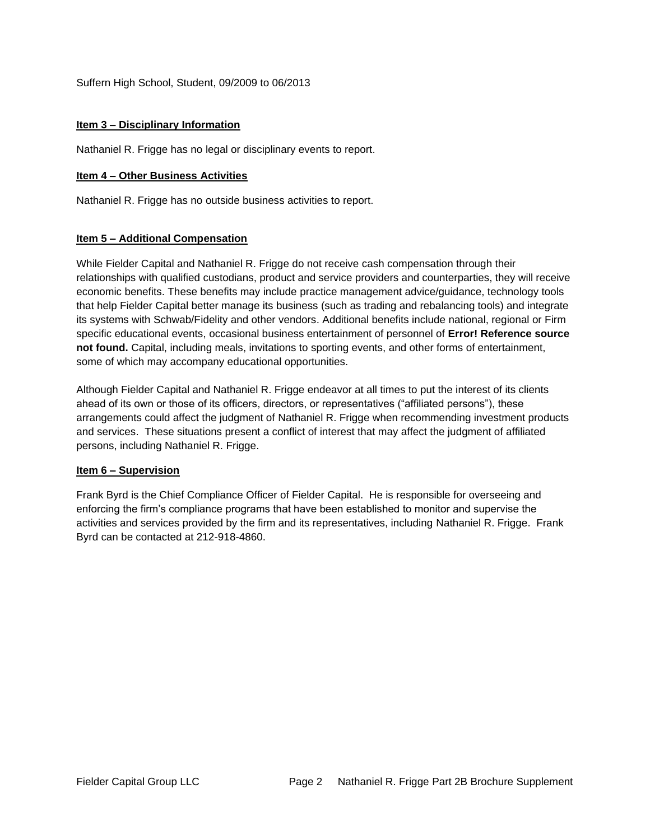Suffern High School, Student, 09/2009 to 06/2013

### **Item 3 – Disciplinary Information**

Nathaniel R. Frigge has no legal or disciplinary events to report.

### **Item 4 – Other Business Activities**

Nathaniel R. Frigge has no outside business activities to report.

### **Item 5 – Additional Compensation**

While Fielder Capital and Nathaniel R. Frigge do not receive cash compensation through their relationships with qualified custodians, product and service providers and counterparties, they will receive economic benefits. These benefits may include practice management advice/guidance, technology tools that help Fielder Capital better manage its business (such as trading and rebalancing tools) and integrate its systems with Schwab/Fidelity and other vendors. Additional benefits include national, regional or Firm specific educational events, occasional business entertainment of personnel of **Error! Reference source not found.** Capital, including meals, invitations to sporting events, and other forms of entertainment, some of which may accompany educational opportunities.

Although Fielder Capital and Nathaniel R. Frigge endeavor at all times to put the interest of its clients ahead of its own or those of its officers, directors, or representatives ("affiliated persons"), these arrangements could affect the judgment of Nathaniel R. Frigge when recommending investment products and services. These situations present a conflict of interest that may affect the judgment of affiliated persons, including Nathaniel R. Frigge.

### **Item 6 – Supervision**

Frank Byrd is the Chief Compliance Officer of Fielder Capital. He is responsible for overseeing and enforcing the firm's compliance programs that have been established to monitor and supervise the activities and services provided by the firm and its representatives, including Nathaniel R. Frigge. Frank Byrd can be contacted at 212-918-4860.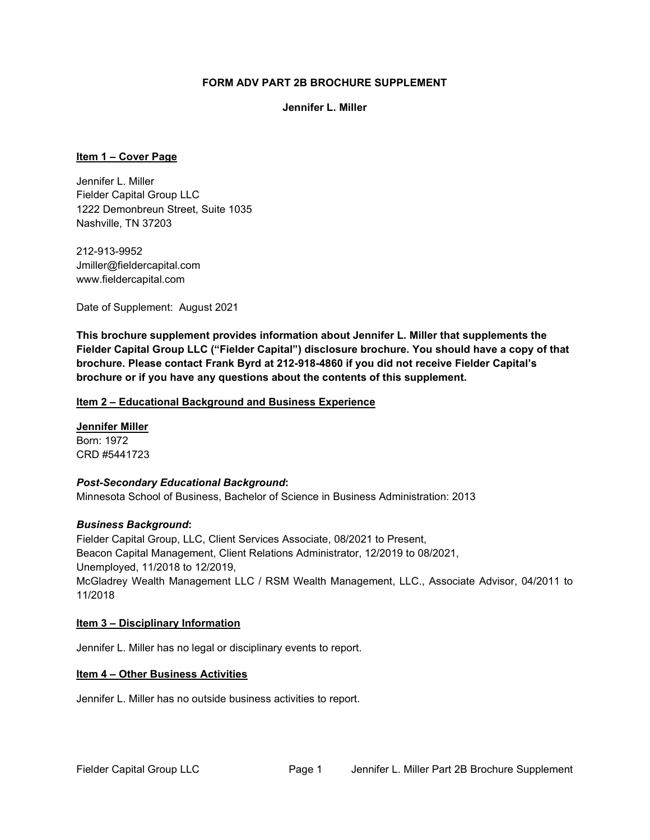### **FORM ADV PART 2B BROCHURE SUPPLEMENT**

#### **Jennifer L. Miller**

### **Item 1 – Cover Page**

Jennifer L. Miller Fielder Capital Group LLC 1222 Demonbreun Street, Suite 1035 Nashville, TN 37203

212-913-9952 Jmiller@fieldercapital.com www.fieldercapital.com

Date of Supplement: August 2021

**This brochure supplement provides information about Jennifer L. Miller that supplements the Fielder Capital Group LLC ("Fielder Capital") disclosure brochure. You should have a copy of that brochure. Please contact Frank Byrd at 212-918-4860 if you did not receive Fielder Capital's brochure or if you have any questions about the contents of this supplement.** 

### **Item 2 – Educational Background and Business Experience**

**Jennifer Miller** Born: 1972 CRD #5441723

### *Post-Secondary Educational Background***:**

Minnesota School of Business, Bachelor of Science in Business Administration: 2013

### *Business Background***:**

Fielder Capital Group, LLC, Client Services Associate, 08/2021 to Present, Beacon Capital Management, Client Relations Administrator, 12/2019 to 08/2021, Unemployed, 11/2018 to 12/2019, McGladrey Wealth Management LLC / RSM Wealth Management, LLC., Associate Advisor, 04/2011 to 11/2018

### **Item 3 – Disciplinary Information**

Jennifer L. Miller has no legal or disciplinary events to report.

### **Item 4 – Other Business Activities**

Jennifer L. Miller has no outside business activities to report.